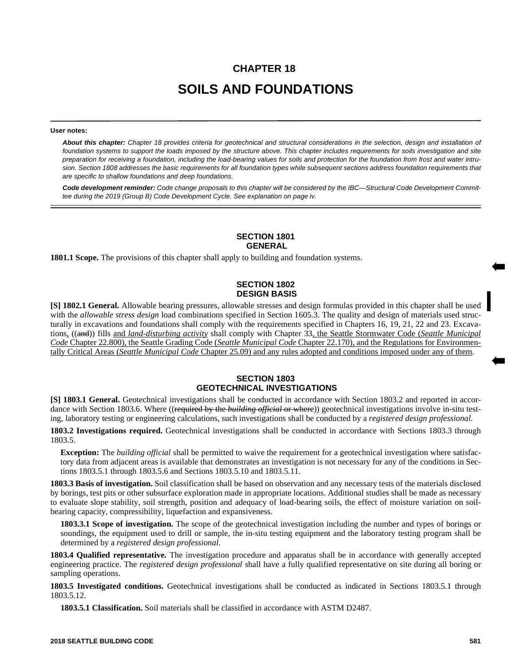# **CHAPTER 18 SOILS AND FOUNDATIONS**

#### **User notes:**

*About this chapter: Chapter 18 provides criteria for geotechnical and structural considerations in the selection, design and installation of foundation systems to support the loads imposed by the structure above. This chapter includes requirements for soils investigation and site preparation for receiving a foundation, including the load-bearing values for soils and protection for the foundation from frost and water intrusion. Section 1808 addresses the basic requirements for all foundation types while subsequent sections address foundation requirements that are specific to shallow foundations and deep foundations.*

*Code development reminder: Code change proposals to this chapter will be considered by the IBC—Structural Code Development Committee during the 2019 (Group B) Code Development Cycle. See explanation on page iv.*

# **SECTION 1801 GENERAL**

**1801.1 Scope.** The provisions of this chapter shall apply to building and foundation systems.

# **SECTION 1802 DESIGN BASIS**

**[S] 1802.1 General.** Allowable bearing pressures, allowable stresses and design formulas provided in this chapter shall be used with the *allowable stress design* load combinations specified in Section 1605.3. The quality and design of materials used structurally in excavations and foundations shall comply with the requirements specified in Chapters 16, 19, 21, 22 and 23. Excavations, ((and)) fills and *land-disturbing activity* shall comply with Chapter 33, the Seattle Stormwater Code (*Seattle Municipal Code* Chapter 22.800), the Seattle Grading Code (*Seattle Municipal Code* Chapter 22.170), and the Regulations for Environmentally Critical Areas (*Seattle Municipal Code* Chapter 25.09) and any rules adopted and conditions imposed under any of them.

# **SECTION 1803 GEOTECHNICAL INVESTIGATIONS**

**[S] 1803.1 General.** Geotechnical investigations shall be conducted in accordance with Section 1803.2 and reported in accordance with Section 1803.6. Where ((required by the *building official* or where)) geotechnical investigations involve in-situ testing, laboratory testing or engineering calculations, such investigations shall be conducted by a *registered design professional*.

**1803.2 Investigations required.** Geotechnical investigations shall be conducted in accordance with Sections 1803.3 through 1803.5.

**Exception:** The *building official* shall be permitted to waive the requirement for a geotechnical investigation where satisfactory data from adjacent areas is available that demonstrates an investigation is not necessary for any of the conditions in Sections 1803.5.1 through 1803.5.6 and Sections 1803.5.10 and 1803.5.11.

**1803.3 Basis of investigation.** Soil classification shall be based on observation and any necessary tests of the materials disclosed by borings, test pits or other subsurface exploration made in appropriate locations. Additional studies shall be made as necessary to evaluate slope stability, soil strength, position and adequacy of load-bearing soils, the effect of moisture variation on soilbearing capacity, compressibility, liquefaction and expansiveness.

**1803.3.1 Scope of investigation.** The scope of the geotechnical investigation including the number and types of borings or soundings, the equipment used to drill or sample, the in-situ testing equipment and the laboratory testing program shall be determined by a *registered design professional*.

**1803.4 Qualified representative.** The investigation procedure and apparatus shall be in accordance with generally accepted engineering practice. The *registered design professional* shall have a fully qualified representative on site during all boring or sampling operations.

**1803.5 Investigated conditions.** Geotechnical investigations shall be conducted as indicated in Sections 1803.5.1 through 1803.5.12.

**1803.5.1 Classification.** Soil materials shall be classified in accordance with ASTM D2487.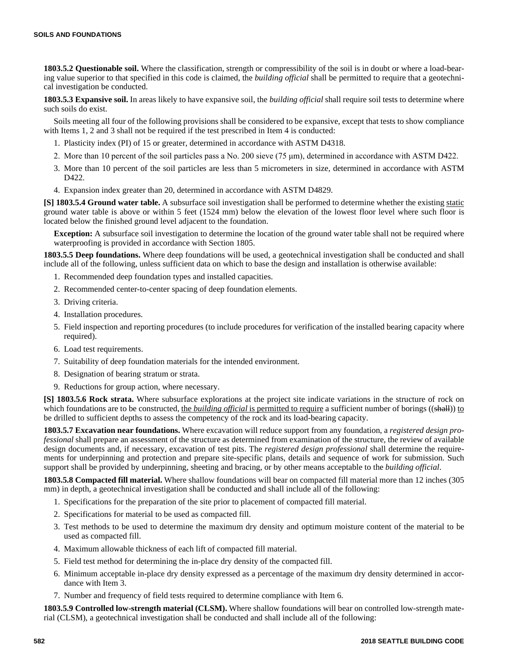**1803.5.2 Questionable soil.** Where the classification, strength or compressibility of the soil is in doubt or where a load-bearing value superior to that specified in this code is claimed, the *building official* shall be permitted to require that a geotechnical investigation be conducted.

**1803.5.3 Expansive soil.** In areas likely to have expansive soil, the *building official* shall require soil tests to determine where such soils do exist.

Soils meeting all four of the following provisions shall be considered to be expansive, except that tests to show compliance with Items 1, 2 and 3 shall not be required if the test prescribed in Item 4 is conducted:

- 1. Plasticity index (PI) of 15 or greater, determined in accordance with ASTM D4318.
- 2. More than 10 percent of the soil particles pass a No. 200 sieve (75 μm), determined in accordance with ASTM D422.
- 3. More than 10 percent of the soil particles are less than 5 micrometers in size, determined in accordance with ASTM D<sub>422</sub>.
- 4. Expansion index greater than 20, determined in accordance with ASTM D4829.

**[S] 1803.5.4 Ground water table.** A subsurface soil investigation shall be performed to determine whether the existing static ground water table is above or within 5 feet (1524 mm) below the elevation of the lowest floor level where such floor is located below the finished ground level adjacent to the foundation.

**Exception:** A subsurface soil investigation to determine the location of the ground water table shall not be required where waterproofing is provided in accordance with Section 1805.

**1803.5.5 Deep foundations.** Where deep foundations will be used, a geotechnical investigation shall be conducted and shall include all of the following, unless sufficient data on which to base the design and installation is otherwise available:

- 1. Recommended deep foundation types and installed capacities.
- 2. Recommended center-to-center spacing of deep foundation elements.
- 3. Driving criteria.
- 4. Installation procedures.
- 5. Field inspection and reporting procedures (to include procedures for verification of the installed bearing capacity where required).
- 6. Load test requirements.
- 7. Suitability of deep foundation materials for the intended environment.
- 8. Designation of bearing stratum or strata.
- 9. Reductions for group action, where necessary.

**[S] 1803.5.6 Rock strata.** Where subsurface explorations at the project site indicate variations in the structure of rock on which foundations are to be constructed, the *building official* is permitted to require a sufficient number of borings ((shall)) to be drilled to sufficient depths to assess the competency of the rock and its load-bearing capacity.

**1803.5.7 Excavation near foundations.** Where excavation will reduce support from any foundation, a *registered design professional* shall prepare an assessment of the structure as determined from examination of the structure, the review of available design documents and, if necessary, excavation of test pits. The *registered design professional* shall determine the requirements for underpinning and protection and prepare site-specific plans, details and sequence of work for submission. Such support shall be provided by underpinning, sheeting and bracing, or by other means acceptable to the *building official*.

**1803.5.8 Compacted fill material.** Where shallow foundations will bear on compacted fill material more than 12 inches (305 mm) in depth, a geotechnical investigation shall be conducted and shall include all of the following:

- 1. Specifications for the preparation of the site prior to placement of compacted fill material.
- 2. Specifications for material to be used as compacted fill.
- 3. Test methods to be used to determine the maximum dry density and optimum moisture content of the material to be used as compacted fill.
- 4. Maximum allowable thickness of each lift of compacted fill material.
- 5. Field test method for determining the in-place dry density of the compacted fill.
- 6. Minimum acceptable in-place dry density expressed as a percentage of the maximum dry density determined in accordance with Item 3.
- 7. Number and frequency of field tests required to determine compliance with Item 6.

**1803.5.9 Controlled low-strength material (CLSM).** Where shallow foundations will bear on controlled low-strength material (CLSM), a geotechnical investigation shall be conducted and shall include all of the following: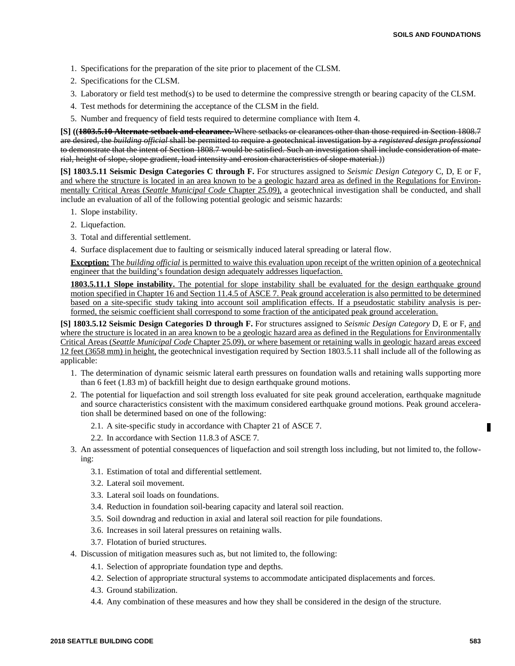- 1. Specifications for the preparation of the site prior to placement of the CLSM.
- 2. Specifications for the CLSM.
- 3. Laboratory or field test method(s) to be used to determine the compressive strength or bearing capacity of the CLSM.
- 4. Test methods for determining the acceptance of the CLSM in the field.
- 5. Number and frequency of field tests required to determine compliance with Item 4.

**[S] ((1803.5.10 Alternate setback and clearance.** Where setbacks or clearances other than those required in Section 1808.7 are desired, the *building official* shall be permitted to require a geotechnical investigation by a *registered design professional* to demonstrate that the intent of Section 1808.7 would be satisfied. Such an investigation shall include consideration of material, height of slope, slope gradient, load intensity and erosion characteristics of slope material.))

**[S] 1803.5.11 Seismic Design Categories C through F.** For structures assigned to *Seismic Design Category* C, D, E or F, and where the structure is located in an area known to be a geologic hazard area as defined in the Regulations for Environmentally Critical Areas (*Seattle Municipal Code* Chapter 25.09), a geotechnical investigation shall be conducted, and shall include an evaluation of all of the following potential geologic and seismic hazards:

- 1. Slope instability.
- 2. Liquefaction.
- 3. Total and differential settlement.
- 4. Surface displacement due to faulting or seismically induced lateral spreading or lateral flow.

**Exception:** The *building official* is permitted to waive this evaluation upon receipt of the written opinion of a geotechnical engineer that the building's foundation design adequately addresses liquefaction.

**1803.5.11.1 Slope instability.** The potential for slope instability shall be evaluated for the design earthquake ground motion specified in Chapter 16 and Section 11.4.5 of ASCE 7. Peak ground acceleration is also permitted to be determined based on a site-specific study taking into account soil amplification effects. If a pseudostatic stability analysis is performed, the seismic coefficient shall correspond to some fraction of the anticipated peak ground acceleration.

**[S] 1803.5.12 Seismic Design Categories D through F.** For structures assigned to *Seismic Design Category* D, E or F, and where the structure is located in an area known to be a geologic hazard area as defined in the Regulations for Environmentally Critical Areas (*Seattle Municipal Code* Chapter 25.09), or where basement or retaining walls in geologic hazard areas exceed 12 feet (3658 mm) in height, the geotechnical investigation required by Section 1803.5.11 shall include all of the following as applicable:

- 1. The determination of dynamic seismic lateral earth pressures on foundation walls and retaining walls supporting more than 6 feet (1.83 m) of backfill height due to design earthquake ground motions.
- 2. The potential for liquefaction and soil strength loss evaluated for site peak ground acceleration, earthquake magnitude and source characteristics consistent with the maximum considered earthquake ground motions. Peak ground acceleration shall be determined based on one of the following:
	- 2.1. A site-specific study in accordance with Chapter 21 of ASCE 7.
	- 2.2. In accordance with Section 11.8.3 of ASCE 7.
- 3. An assessment of potential consequences of liquefaction and soil strength loss including, but not limited to, the following:
	- 3.1. Estimation of total and differential settlement.
	- 3.2. Lateral soil movement.
	- 3.3. Lateral soil loads on foundations.
	- 3.4. Reduction in foundation soil-bearing capacity and lateral soil reaction.
	- 3.5. Soil downdrag and reduction in axial and lateral soil reaction for pile foundations.
	- 3.6. Increases in soil lateral pressures on retaining walls.
	- 3.7. Flotation of buried structures.
- 4. Discussion of mitigation measures such as, but not limited to, the following:
	- 4.1. Selection of appropriate foundation type and depths.
	- 4.2. Selection of appropriate structural systems to accommodate anticipated displacements and forces.
	- 4.3. Ground stabilization.
	- 4.4. Any combination of these measures and how they shall be considered in the design of the structure.

Г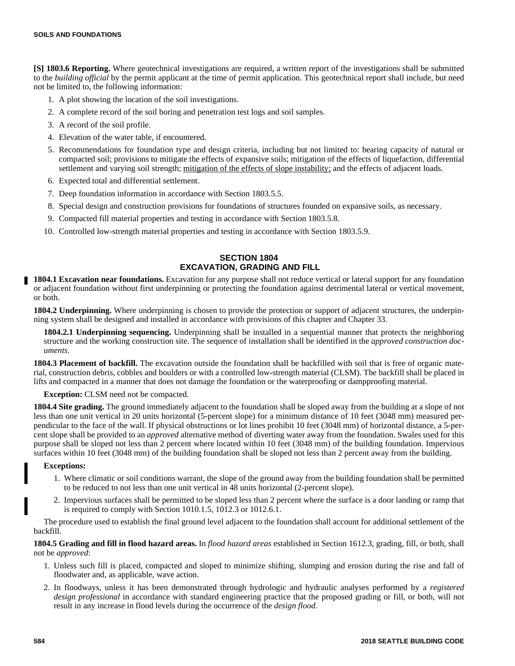**[S] 1803.6 Reporting.** Where geotechnical investigations are required, a written report of the investigations shall be submitted to the *building official* by the permit applicant at the time of permit application. This geotechnical report shall include, but need not be limited to, the following information:

- 1. A plot showing the location of the soil investigations.
- 2. A complete record of the soil boring and penetration test logs and soil samples.
- 3. A record of the soil profile.
- 4. Elevation of the water table, if encountered.
- 5. Recommendations for foundation type and design criteria, including but not limited to: bearing capacity of natural or compacted soil; provisions to mitigate the effects of expansive soils; mitigation of the effects of liquefaction, differential settlement and varying soil strength; mitigation of the effects of slope instability; and the effects of adjacent loads.
- 6. Expected total and differential settlement.
- 7. Deep foundation information in accordance with Section 1803.5.5.
- 8. Special design and construction provisions for foundations of structures founded on expansive soils, as necessary.
- 9. Compacted fill material properties and testing in accordance with Section 1803.5.8.
- 10. Controlled low-strength material properties and testing in accordance with Section 1803.5.9.

# **SECTION 1804 EXCAVATION, GRADING AND FILL**

**1804.1 Excavation near foundations.** Excavation for any purpose shall not reduce vertical or lateral support for any foundation or adjacent foundation without first underpinning or protecting the foundation against detrimental lateral or vertical movement, or both.

**1804.2 Underpinning.** Where underpinning is chosen to provide the protection or support of adjacent structures, the underpinning system shall be designed and installed in accordance with provisions of this chapter and Chapter 33.

**1804.2.1 Underpinning sequencing.** Underpinning shall be installed in a sequential manner that protects the neighboring structure and the working construction site. The sequence of installation shall be identified in the *approved construction documents*.

**1804.3 Placement of backfill.** The excavation outside the foundation shall be backfilled with soil that is free of organic material, construction debris, cobbles and boulders or with a controlled low-strength material (CLSM). The backfill shall be placed in lifts and compacted in a manner that does not damage the foundation or the waterproofing or dampproofing material.

**Exception:** CLSM need not be compacted.

**1804.4 Site grading.** The ground immediately adjacent to the foundation shall be sloped away from the building at a slope of not less than one unit vertical in 20 units horizontal (5-percent slope) for a minimum distance of 10 feet (3048 mm) measured perpendicular to the face of the wall. If physical obstructions or lot lines prohibit 10 feet (3048 mm) of horizontal distance, a 5-percent slope shall be provided to an *approved* alternative method of diverting water away from the foundation. Swales used for this purpose shall be sloped not less than 2 percent where located within 10 feet (3048 mm) of the building foundation. Impervious surfaces within 10 feet (3048 mm) of the building foundation shall be sloped not less than 2 percent away from the building.

## **Exceptions:**

- 1. Where climatic or soil conditions warrant, the slope of the ground away from the building foundation shall be permitted to be reduced to not less than one unit vertical in 48 units horizontal (2-percent slope).
- 2. Impervious surfaces shall be permitted to be sloped less than 2 percent where the surface is a door landing or ramp that is required to comply with Section 1010.1.5, 1012.3 or 1012.6.1.

The procedure used to establish the final ground level adjacent to the foundation shall account for additional settlement of the backfill.

**1804.5 Grading and fill in flood hazard areas.** In *flood hazard areas* established in Section 1612.3, grading, fill, or both, shall not be *approved*:

- 1. Unless such fill is placed, compacted and sloped to minimize shifting, slumping and erosion during the rise and fall of floodwater and, as applicable, wave action.
- 2. In floodways, unless it has been demonstrated through hydrologic and hydraulic analyses performed by a *registered design professional* in accordance with standard engineering practice that the proposed grading or fill, or both, will not result in any increase in flood levels during the occurrence of the *design flood*.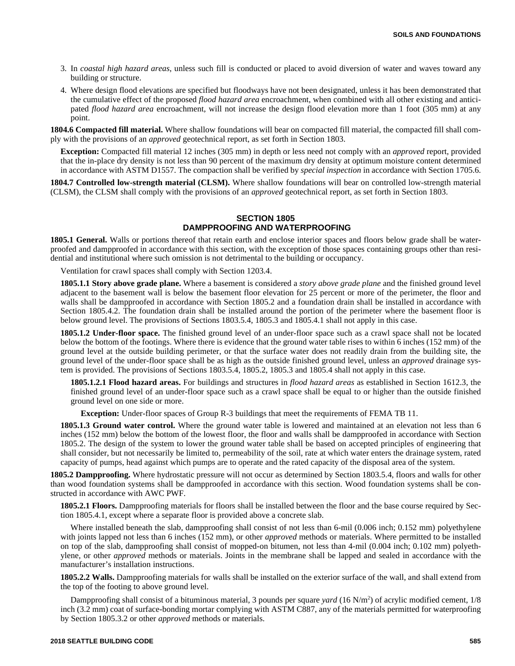- 3. In *coastal high hazard areas*, unless such fill is conducted or placed to avoid diversion of water and waves toward any building or structure.
- 4. Where design flood elevations are specified but floodways have not been designated, unless it has been demonstrated that the cumulative effect of the proposed *flood hazard area* encroachment, when combined with all other existing and anticipated *flood hazard area* encroachment, will not increase the design flood elevation more than 1 foot (305 mm) at any point.

**1804.6 Compacted fill material.** Where shallow foundations will bear on compacted fill material, the compacted fill shall comply with the provisions of an *approved* geotechnical report, as set forth in Section 1803.

**Exception:** Compacted fill material 12 inches (305 mm) in depth or less need not comply with an *approved* report, provided that the in-place dry density is not less than 90 percent of the maximum dry density at optimum moisture content determined in accordance with ASTM D1557. The compaction shall be verified by *special inspection* in accordance with Section 1705.6.

**1804.7 Controlled low-strength material (CLSM).** Where shallow foundations will bear on controlled low-strength material (CLSM), the CLSM shall comply with the provisions of an *approved* geotechnical report, as set forth in Section 1803.

# **SECTION 1805 DAMPPROOFING AND WATERPROOFING**

**1805.1 General.** Walls or portions thereof that retain earth and enclose interior spaces and floors below grade shall be waterproofed and dampproofed in accordance with this section, with the exception of those spaces containing groups other than residential and institutional where such omission is not detrimental to the building or occupancy.

Ventilation for crawl spaces shall comply with Section 1203.4.

**1805.1.1 Story above grade plane.** Where a basement is considered a *story above grade plane* and the finished ground level adjacent to the basement wall is below the basement floor elevation for 25 percent or more of the perimeter, the floor and walls shall be dampproofed in accordance with Section 1805.2 and a foundation drain shall be installed in accordance with Section 1805.4.2. The foundation drain shall be installed around the portion of the perimeter where the basement floor is below ground level. The provisions of Sections 1803.5.4, 1805.3 and 1805.4.1 shall not apply in this case.

**1805.1.2 Under-floor space.** The finished ground level of an under-floor space such as a crawl space shall not be located below the bottom of the footings. Where there is evidence that the ground water table rises to within 6 inches (152 mm) of the ground level at the outside building perimeter, or that the surface water does not readily drain from the building site, the ground level of the under-floor space shall be as high as the outside finished ground level, unless an *approved* drainage system is provided. The provisions of Sections 1803.5.4, 1805.2, 1805.3 and 1805.4 shall not apply in this case.

**1805.1.2.1 Flood hazard areas.** For buildings and structures in *flood hazard areas* as established in Section 1612.3, the finished ground level of an under-floor space such as a crawl space shall be equal to or higher than the outside finished ground level on one side or more.

**Exception:** Under-floor spaces of Group R-3 buildings that meet the requirements of FEMA TB 11.

**1805.1.3 Ground water control.** Where the ground water table is lowered and maintained at an elevation not less than 6 inches (152 mm) below the bottom of the lowest floor, the floor and walls shall be dampproofed in accordance with Section 1805.2. The design of the system to lower the ground water table shall be based on accepted principles of engineering that shall consider, but not necessarily be limited to, permeability of the soil, rate at which water enters the drainage system, rated capacity of pumps, head against which pumps are to operate and the rated capacity of the disposal area of the system.

**1805.2 Dampproofing.** Where hydrostatic pressure will not occur as determined by Section 1803.5.4, floors and walls for other than wood foundation systems shall be dampproofed in accordance with this section. Wood foundation systems shall be constructed in accordance with AWC PWF.

**1805.2.1 Floors.** Dampproofing materials for floors shall be installed between the floor and the base course required by Section 1805.4.1, except where a separate floor is provided above a concrete slab.

Where installed beneath the slab, dampproofing shall consist of not less than 6-mil (0.006 inch; 0.152 mm) polyethylene with joints lapped not less than 6 inches (152 mm), or other *approved* methods or materials. Where permitted to be installed on top of the slab, dampproofing shall consist of mopped-on bitumen, not less than 4-mil (0.004 inch; 0.102 mm) polyethylene, or other *approved* methods or materials. Joints in the membrane shall be lapped and sealed in accordance with the manufacturer's installation instructions.

**1805.2.2 Walls.** Dampproofing materials for walls shall be installed on the exterior surface of the wall, and shall extend from the top of the footing to above ground level.

Dampproofing shall consist of a bituminous material, 3 pounds per square *yard* (16 N/m<sup>2</sup>) of acrylic modified cement, 1/8 inch (3.2 mm) coat of surface-bonding mortar complying with ASTM C887, any of the materials permitted for waterproofing by Section 1805.3.2 or other *approved* methods or materials.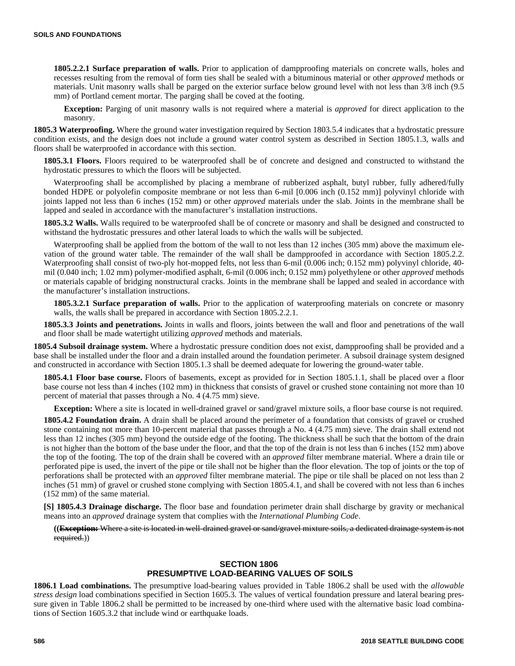**1805.2.2.1 Surface preparation of walls.** Prior to application of dampproofing materials on concrete walls, holes and recesses resulting from the removal of form ties shall be sealed with a bituminous material or other *approved* methods or materials. Unit masonry walls shall be parged on the exterior surface below ground level with not less than 3/8 inch (9.5 mm) of Portland cement mortar. The parging shall be coved at the footing.

**Exception:** Parging of unit masonry walls is not required where a material is *approved* for direct application to the masonry.

**1805.3 Waterproofing.** Where the ground water investigation required by Section 1803.5.4 indicates that a hydrostatic pressure condition exists, and the design does not include a ground water control system as described in Section 1805.1.3, walls and floors shall be waterproofed in accordance with this section.

**1805.3.1 Floors.** Floors required to be waterproofed shall be of concrete and designed and constructed to withstand the hydrostatic pressures to which the floors will be subjected.

Waterproofing shall be accomplished by placing a membrane of rubberized asphalt, butyl rubber, fully adhered/fully bonded HDPE or polyolefin composite membrane or not less than 6-mil [0.006 inch (0.152 mm)] polyvinyl chloride with joints lapped not less than 6 inches (152 mm) or other *approved* materials under the slab. Joints in the membrane shall be lapped and sealed in accordance with the manufacturer's installation instructions.

**1805.3.2 Walls.** Walls required to be waterproofed shall be of concrete or masonry and shall be designed and constructed to withstand the hydrostatic pressures and other lateral loads to which the walls will be subjected.

Waterproofing shall be applied from the bottom of the wall to not less than 12 inches (305 mm) above the maximum elevation of the ground water table. The remainder of the wall shall be dampproofed in accordance with Section 1805.2.2. Waterproofing shall consist of two-ply hot-mopped felts, not less than 6-mil (0.006 inch; 0.152 mm) polyvinyl chloride, 40 mil (0.040 inch; 1.02 mm) polymer-modified asphalt, 6-mil (0.006 inch; 0.152 mm) polyethylene or other *approved* methods or materials capable of bridging nonstructural cracks. Joints in the membrane shall be lapped and sealed in accordance with the manufacturer's installation instructions.

**1805.3.2.1 Surface preparation of walls.** Prior to the application of waterproofing materials on concrete or masonry walls, the walls shall be prepared in accordance with Section 1805.2.2.1.

**1805.3.3 Joints and penetrations.** Joints in walls and floors, joints between the wall and floor and penetrations of the wall and floor shall be made watertight utilizing *approved* methods and materials.

**1805.4 Subsoil drainage system.** Where a hydrostatic pressure condition does not exist, dampproofing shall be provided and a base shall be installed under the floor and a drain installed around the foundation perimeter. A subsoil drainage system designed and constructed in accordance with Section 1805.1.3 shall be deemed adequate for lowering the ground-water table.

**1805.4.1 Floor base course.** Floors of basements, except as provided for in Section 1805.1.1, shall be placed over a floor base course not less than 4 inches (102 mm) in thickness that consists of gravel or crushed stone containing not more than 10 percent of material that passes through a No. 4 (4.75 mm) sieve.

**Exception:** Where a site is located in well-drained gravel or sand/gravel mixture soils, a floor base course is not required.

**1805.4.2 Foundation drain.** A drain shall be placed around the perimeter of a foundation that consists of gravel or crushed stone containing not more than 10-percent material that passes through a No. 4 (4.75 mm) sieve. The drain shall extend not less than 12 inches (305 mm) beyond the outside edge of the footing. The thickness shall be such that the bottom of the drain is not higher than the bottom of the base under the floor, and that the top of the drain is not less than 6 inches (152 mm) above the top of the footing. The top of the drain shall be covered with an *approved* filter membrane material. Where a drain tile or perforated pipe is used, the invert of the pipe or tile shall not be higher than the floor elevation. The top of joints or the top of perforations shall be protected with an *approved* filter membrane material. The pipe or tile shall be placed on not less than 2 inches (51 mm) of gravel or crushed stone complying with Section 1805.4.1, and shall be covered with not less than 6 inches (152 mm) of the same material.

**[S] 1805.4.3 Drainage discharge.** The floor base and foundation perimeter drain shall discharge by gravity or mechanical means into an *approved* drainage system that complies with the *International Plumbing Code*.

**((Exception:** Where a site is located in well-drained gravel or sand/gravel mixture soils, a dedicated drainage system is not required.))

# **SECTION 1806 PRESUMPTIVE LOAD-BEARING VALUES OF SOILS**

**1806.1 Load combinations.** The presumptive load-bearing values provided in Table 1806.2 shall be used with the *allowable stress design* load combinations specified in Section 1605.3. The values of vertical foundation pressure and lateral bearing pressure given in Table 1806.2 shall be permitted to be increased by one-third where used with the alternative basic load combinations of Section 1605.3.2 that include wind or earthquake loads.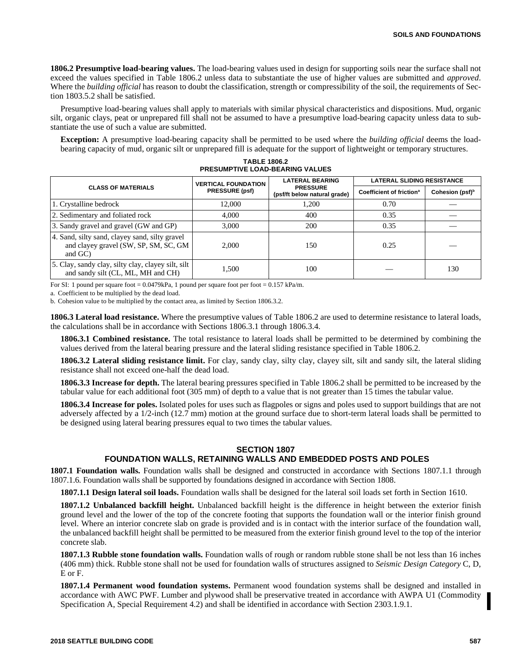**1806.2 Presumptive load-bearing values.** The load-bearing values used in design for supporting soils near the surface shall not exceed the values specified in Table 1806.2 unless data to substantiate the use of higher values are submitted and *approved*. Where the *building official* has reason to doubt the classification, strength or compressibility of the soil, the requirements of Section 1803.5.2 shall be satisfied.

Presumptive load-bearing values shall apply to materials with similar physical characteristics and dispositions. Mud, organic silt, organic clays, peat or unprepared fill shall not be assumed to have a presumptive load-bearing capacity unless data to substantiate the use of such a value are submitted.

**Exception:** A presumptive load-bearing capacity shall be permitted to be used where the *building official* deems the loadbearing capacity of mud, organic silt or unprepared fill is adequate for the support of lightweight or temporary structures.

|                                                                                                    | <b>VERTICAL FOUNDATION</b> | <b>LATERAL BEARING</b>                          | <b>LATERAL SLIDING RESISTANCE</b>    |                             |
|----------------------------------------------------------------------------------------------------|----------------------------|-------------------------------------------------|--------------------------------------|-----------------------------|
| <b>CLASS OF MATERIALS</b>                                                                          | <b>PRESSURE (psf)</b>      | <b>PRESSURE</b><br>(psf/ft below natural grade) | Coefficient of friction <sup>a</sup> | Cohesion (psf) <sup>b</sup> |
| 1. Crystalline bedrock                                                                             | 12,000                     | 1.200                                           | 0.70                                 |                             |
| 2. Sedimentary and foliated rock                                                                   | 4.000                      | 400                                             | 0.35                                 |                             |
| 3. Sandy gravel and gravel (GW and GP)                                                             | 3.000                      | 200                                             | 0.35                                 |                             |
| 4. Sand, silty sand, clayey sand, silty gravel<br>and clayey gravel (SW, SP, SM, SC, GM<br>and GC) | 2.000                      | 150                                             | 0.25                                 |                             |
| 5. Clay, sandy clay, silty clay, clayey silt, silt<br>and sandy silt (CL, ML, MH and CH)           | 1.500                      | 100                                             |                                      | 130                         |

**TABLE 1806.2 PRESUMPTIVE LOAD-BEARING VALUES**

For SI: 1 pound per square foot =  $0.0479kPa$ , 1 pound per square foot per foot =  $0.157 kPa/m$ .

a. Coefficient to be multiplied by the dead load.

b. Cohesion value to be multiplied by the contact area, as limited by Section 1806.3.2.

**1806.3 Lateral load resistance.** Where the presumptive values of Table 1806.2 are used to determine resistance to lateral loads, the calculations shall be in accordance with Sections 1806.3.1 through 1806.3.4.

**1806.3.1 Combined resistance.** The total resistance to lateral loads shall be permitted to be determined by combining the values derived from the lateral bearing pressure and the lateral sliding resistance specified in Table 1806.2.

**1806.3.2 Lateral sliding resistance limit.** For clay, sandy clay, silty clay, clayey silt, silt and sandy silt, the lateral sliding resistance shall not exceed one-half the dead load.

**1806.3.3 Increase for depth.** The lateral bearing pressures specified in Table 1806.2 shall be permitted to be increased by the tabular value for each additional foot (305 mm) of depth to a value that is not greater than 15 times the tabular value.

**1806.3.4 Increase for poles.** Isolated poles for uses such as flagpoles or signs and poles used to support buildings that are not adversely affected by a 1/2-inch (12.7 mm) motion at the ground surface due to short-term lateral loads shall be permitted to be designed using lateral bearing pressures equal to two times the tabular values.

# **SECTION 1807**

# **FOUNDATION WALLS, RETAINING WALLS AND EMBEDDED POSTS AND POLES**

**1807.1 Foundation walls.** Foundation walls shall be designed and constructed in accordance with Sections 1807.1.1 through 1807.1.6. Foundation walls shall be supported by foundations designed in accordance with Section 1808.

**1807.1.1 Design lateral soil loads.** Foundation walls shall be designed for the lateral soil loads set forth in Section 1610.

**1807.1.2 Unbalanced backfill height.** Unbalanced backfill height is the difference in height between the exterior finish ground level and the lower of the top of the concrete footing that supports the foundation wall or the interior finish ground level. Where an interior concrete slab on grade is provided and is in contact with the interior surface of the foundation wall, the unbalanced backfill height shall be permitted to be measured from the exterior finish ground level to the top of the interior concrete slab.

**1807.1.3 Rubble stone foundation walls.** Foundation walls of rough or random rubble stone shall be not less than 16 inches (406 mm) thick. Rubble stone shall not be used for foundation walls of structures assigned to *Seismic Design Category* C, D, E or F.

**1807.1.4 Permanent wood foundation systems.** Permanent wood foundation systems shall be designed and installed in accordance with AWC PWF. Lumber and plywood shall be preservative treated in accordance with AWPA U1 (Commodity Specification A, Special Requirement 4.2) and shall be identified in accordance with Section 2303.1.9.1.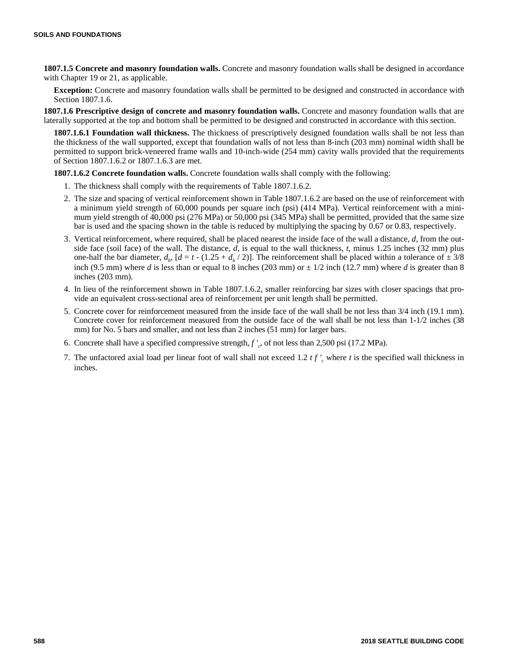**1807.1.5 Concrete and masonry foundation walls.** Concrete and masonry foundation walls shall be designed in accordance with Chapter 19 or 21, as applicable.

**Exception:** Concrete and masonry foundation walls shall be permitted to be designed and constructed in accordance with Section 1807.1.6.

**1807.1.6 Prescriptive design of concrete and masonry foundation walls.** Concrete and masonry foundation walls that are laterally supported at the top and bottom shall be permitted to be designed and constructed in accordance with this section.

**1807.1.6.1 Foundation wall thickness.** The thickness of prescriptively designed foundation walls shall be not less than the thickness of the wall supported, except that foundation walls of not less than 8-inch (203 mm) nominal width shall be permitted to support brick-veneered frame walls and 10-inch-wide (254 mm) cavity walls provided that the requirements of Section 1807.1.6.2 or 1807.1.6.3 are met.

**1807.1.6.2 Concrete foundation walls.** Concrete foundation walls shall comply with the following:

- 1. The thickness shall comply with the requirements of Table 1807.1.6.2.
- 2. The size and spacing of vertical reinforcement shown in Table 1807.1.6.2 are based on the use of reinforcement with a minimum yield strength of 60,000 pounds per square inch (psi) (414 MPa). Vertical reinforcement with a minimum yield strength of 40,000 psi (276 MPa) or 50,000 psi (345 MPa) shall be permitted, provided that the same size bar is used and the spacing shown in the table is reduced by multiplying the spacing by 0.67 or 0.83, respectively.
- 3. Vertical reinforcement, where required, shall be placed nearest the inside face of the wall a distance, *d*, from the outside face (soil face) of the wall. The distance, *d*, is equal to the wall thickness, *t*, minus 1.25 inches (32 mm) plus one-half the bar diameter,  $d_b$ ,  $[d = t - (1.25 + d_b / 2)]$ . The reinforcement shall be placed within a tolerance of  $\pm 3/8$ inch (9.5 mm) where *d* is less than or equal to 8 inches (203 mm) or  $\pm$  1/2 inch (12.7 mm) where *d* is greater than 8 inches (203 mm).
- 4. In lieu of the reinforcement shown in Table 1807.1.6.2, smaller reinforcing bar sizes with closer spacings that provide an equivalent cross-sectional area of reinforcement per unit length shall be permitted.
- 5. Concrete cover for reinforcement measured from the inside face of the wall shall be not less than 3/4 inch (19.1 mm). Concrete cover for reinforcement measured from the outside face of the wall shall be not less than 1-1/2 inches (38 mm) for No. 5 bars and smaller, and not less than 2 inches (51 mm) for larger bars.
- 6. Concrete shall have a specified compressive strength, *f ' c* , of not less than 2,500 psi (17.2 MPa).
- 7. The unfactored axial load per linear foot of wall shall not exceed 1.2 *t f ' c* where *t* is the specified wall thickness in inches.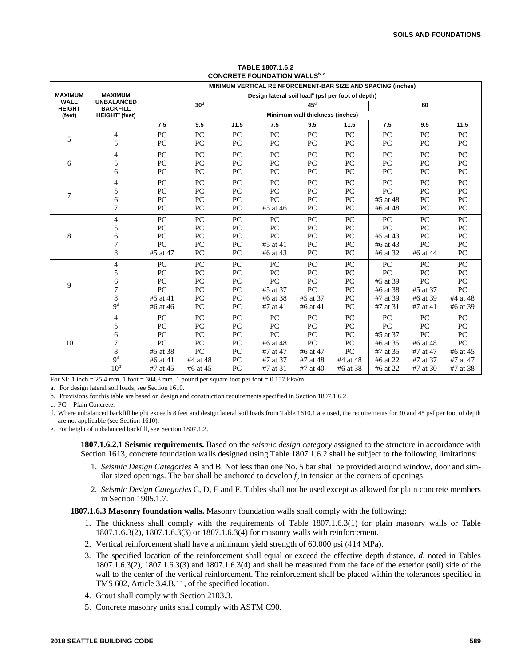|                              |                                      |                 | MINIMUM VERTICAL REINFORCEMENT-BAR SIZE AND SPACING (inches) |                                                               |                  |                                 |                  |                  |                  |                  |  |
|------------------------------|--------------------------------------|-----------------|--------------------------------------------------------------|---------------------------------------------------------------|------------------|---------------------------------|------------------|------------------|------------------|------------------|--|
| <b>MAXIMUM</b>               | <b>MAXIMUM</b>                       |                 |                                                              | Design lateral soil load <sup>a</sup> (psf per foot of depth) |                  |                                 |                  |                  |                  |                  |  |
| <b>WALL</b><br><b>HEIGHT</b> | <b>UNBALANCED</b><br><b>BACKFILL</b> | 30 <sup>d</sup> |                                                              |                                                               |                  | 45 <sup>d</sup>                 |                  |                  | 60               |                  |  |
| (feet)                       | HEIGHT <sup>e</sup> (feet)           |                 |                                                              |                                                               |                  | Minimum wall thickness (inches) |                  |                  |                  |                  |  |
|                              |                                      | 7.5             | 9.5                                                          | 11.5                                                          | 7.5              | 9.5                             | 11.5             | 7.5              | 9.5              | 11.5             |  |
| 5                            | $\overline{4}$                       | PC              | PC                                                           | PC                                                            | PC               | PC                              | PC               | PC               | <b>PC</b>        | PC               |  |
|                              | 5                                    | PC              | PC                                                           | PC                                                            | PC               | PC                              | PC               | PC               | PC               | PC               |  |
|                              | $\overline{4}$                       | PC              | PC                                                           | PC                                                            | <b>PC</b>        | PC                              | PC               | PC               | <b>PC</b>        | ${\rm P}{\bf C}$ |  |
| 6                            | 5                                    | PC              | PC                                                           | ${\rm P}{\bf C}$                                              | ${\rm P}{\bf C}$ | PC                              | PC               | ${\rm P}{\bf C}$ | PC               | ${\rm P}{\bf C}$ |  |
|                              | 6                                    | PC              | PC                                                           | PC                                                            | PC               | PC                              | PC               | PC               | PC               | ${\rm P}{\bf C}$ |  |
|                              | $\overline{4}$                       | PC              | ${\rm P}{\bf C}$                                             | ${\rm P}{\bf C}$                                              | PC               | ${\rm P}{\bf C}$                | ${\rm P}{\bf C}$ | ${\rm P}{\bf C}$ | PC               | ${\rm P}{\bf C}$ |  |
| 7                            | 5                                    | PC              | ${\rm P}{\bf C}$                                             | PC                                                            | ${\rm P}{\bf C}$ | ${\rm P}{\bf C}$                | ${\rm P}{\bf C}$ | PC               | ${\rm P}{\bf C}$ | ${\rm P}{\bf C}$ |  |
|                              | 6                                    | PC              | PC                                                           | ${\rm P}{\bf C}$                                              | ${\rm P}{\bf C}$ | PC                              | PC               | #5 at 48         | ${\rm P}{\bf C}$ | ${\rm P}{\bf C}$ |  |
|                              | $\overline{7}$                       | PC              | PC                                                           | PC                                                            | #5 at 46         | PC                              | PC               | #6 at 48         | PC               | ${\rm P}{\bf C}$ |  |
|                              | $\overline{4}$                       | PC              | ${\rm P}{\bf C}$                                             | ${\rm P}{\bf C}$                                              | ${\rm P}{\bf C}$ | ${\rm P}{\bf C}$                | ${\rm P}{\bf C}$ | ${\rm P}{\bf C}$ | ${\rm P}{\bf C}$ | ${\rm P}{\bf C}$ |  |
|                              | 5                                    | PC              | PC                                                           | PC                                                            | ${\rm P}{\bf C}$ | ${\rm P}{\bf C}$                | ${\rm P}{\bf C}$ | PC               | ${\rm P}{\bf C}$ | ${\rm P}{\bf C}$ |  |
| 8                            | 6                                    | PC              | PC                                                           | ${\rm P}{\bf C}$                                              | ${\rm P}{\bf C}$ | ${\rm P}{\bf C}$                | ${\rm P}{\bf C}$ | #5 at 43         | ${\rm P}{\bf C}$ | ${\rm P}{\bf C}$ |  |
|                              | $\overline{7}$                       | PC              | PC                                                           | PC                                                            | #5 at 41         | PC                              | PC               | #6 at 43         | PC               | ${\rm P}{\bf C}$ |  |
|                              | 8                                    | #5 at 47        | PC                                                           | <b>PC</b>                                                     | #6 at 43         | PC                              | PC               | #6 at 32         | #6 at 44         | ${\rm P}{\bf C}$ |  |
|                              | $\overline{4}$                       | PC              | PC                                                           | PC                                                            | <b>PC</b>        | <b>PC</b>                       | PC               | PC               | PC               | PC               |  |
|                              | 5                                    | PC              | PC                                                           | PC                                                            | ${\rm P}{\bf C}$ | PC                              | PC               | ${\rm P}{\bf C}$ | PC               | ${\rm P}{\bf C}$ |  |
| 9                            | 6                                    | PC              | PC                                                           | PC                                                            | PC               | PC                              | ${\rm P}{\bf C}$ | #5 at 39         | PC               | ${\rm P}{\bf C}$ |  |
|                              | 7                                    | PC              | ${\rm P}{\bf C}$                                             | PC                                                            | #5 at 37         | PC                              | PC               | #6 at 38         | #5 at 37         | PC               |  |
|                              | 8                                    | #5 at 41        | PC                                                           | ${\rm P}{\bf C}$                                              | #6 at 38         | #5 at 37                        | PC               | #7 at 39         | #6 at 39         | #4 at 48         |  |
|                              | Q <sup>d</sup>                       | #6 at 46        | PC                                                           | PC                                                            | #7 at 41         | #6 at 41                        | PC               | #7 at 31         | #7 at 41         | #6 at 39         |  |
|                              | $\overline{4}$                       | PC              | PC                                                           | PC                                                            | PC               | PC                              | PC               | PC               | PC               | ${\rm P}{\bf C}$ |  |
|                              | 5                                    | PC              | PC                                                           | PC                                                            | ${\rm P}{\bf C}$ | ${\rm P}{\bf C}$                | PC               | PC               | ${\rm P}{\bf C}$ | ${\rm P}{\bf C}$ |  |
|                              | 6                                    | PC              | PC                                                           | PC                                                            | PC               | PC                              | PC               | #5 at 37         | PC               | PC               |  |
| 10                           | $\overline{7}$                       | PC              | PC                                                           | PC                                                            | #6 at 48         | PC                              | PC               | #6 at 35         | #6 at 48         | PC               |  |
|                              | 8                                    | #5 at 38        | PC                                                           | PC                                                            | #7 at 47         | #6 at 47                        | PC               | #7 at 35         | #7 at 47         | #6 at 45         |  |
|                              | 9 <sup>d</sup>                       | #6 at 41        | #4 at 48                                                     | PC                                                            | #7 at 37         | #7 at 48                        | #4 at 48         | #6 at 22         | #7 at 37         | #7 at 47         |  |
|                              | $10^d$                               | #7 at 45        | #6 at 45                                                     | PC                                                            | #7 at 31         | #7 at 40                        | #6 at 38         | #6 at 22         | #7 at 30         | #7 at 38         |  |

#### **TABLE 1807.1.6.2 CONCRETE FOUNDATION WALLSb, c**

For SI: 1 inch = 25.4 mm, 1 foot = 304.8 mm, 1 pound per square foot per foot =  $0.157$  kPa/m.

a. For design lateral soil loads, see Section 1610.

b. Provisions for this table are based on design and construction requirements specified in Section 1807.1.6.2.

c. PC = Plain Concrete.

d. Where unbalanced backfill height exceeds 8 feet and design lateral soil loads from Table 1610.1 are used, the requirements for 30 and 45 psf per foot of depth are not applicable (see Section 1610).

e. For height of unbalanced backfill, see Section 1807.1.2.

**1807.1.6.2.1 Seismic requirements.** Based on the *seismic design category* assigned to the structure in accordance with Section 1613, concrete foundation walls designed using Table 1807.1.6.2 shall be subject to the following limitations:

- 1. *Seismic Design Categories* A and B. Not less than one No. 5 bar shall be provided around window, door and similar sized openings. The bar shall be anchored to develop  $f_y$  in tension at the corners of openings.
- 2. *Seismic Design Categories* C, D, E and F. Tables shall not be used except as allowed for plain concrete members in Section 1905.1.7.

#### **1807.1.6.3 Masonry foundation walls.** Masonry foundation walls shall comply with the following:

- 1. The thickness shall comply with the requirements of Table 1807.1.6.3(1) for plain masonry walls or Table 1807.1.6.3(2), 1807.1.6.3(3) or 1807.1.6.3(4) for masonry walls with reinforcement.
- 2. Vertical reinforcement shall have a minimum yield strength of 60,000 psi (414 MPa).
- 3. The specified location of the reinforcement shall equal or exceed the effective depth distance, *d*, noted in Tables 1807.1.6.3(2), 1807.1.6.3(3) and 1807.1.6.3(4) and shall be measured from the face of the exterior (soil) side of the wall to the center of the vertical reinforcement. The reinforcement shall be placed within the tolerances specified in TMS 602, Article 3.4.B.11, of the specified location.
- 4. Grout shall comply with Section 2103.3.
- 5. Concrete masonry units shall comply with ASTM C90.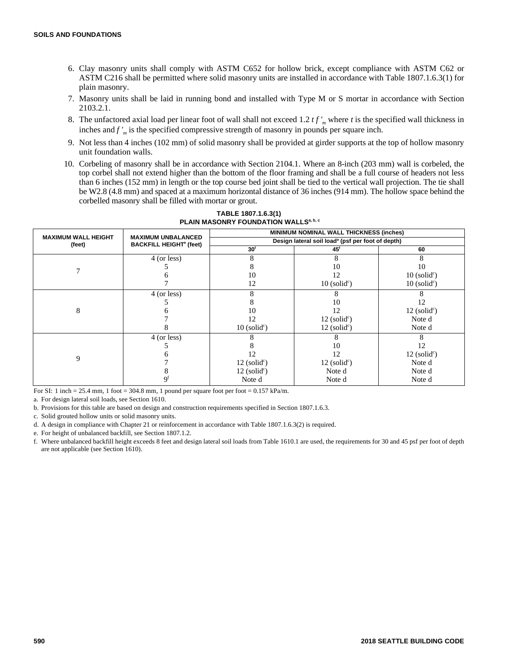- 6. Clay masonry units shall comply with ASTM C652 for hollow brick, except compliance with ASTM C62 or ASTM C216 shall be permitted where solid masonry units are installed in accordance with Table 1807.1.6.3(1) for plain masonry.
- 7. Masonry units shall be laid in running bond and installed with Type M or S mortar in accordance with Section 2103.2.1.
- 8. The unfactored axial load per linear foot of wall shall not exceed 1.2 *t f '<sup>m</sup>* where *t* is the specified wall thickness in inches and *f '<sup>m</sup>* is the specified compressive strength of masonry in pounds per square inch.
- 9. Not less than 4 inches (102 mm) of solid masonry shall be provided at girder supports at the top of hollow masonry unit foundation walls.
- 10. Corbeling of masonry shall be in accordance with Section 2104.1. Where an 8-inch (203 mm) wall is corbeled, the top corbel shall not extend higher than the bottom of the floor framing and shall be a full course of headers not less than 6 inches (152 mm) in length or the top course bed joint shall be tied to the vertical wall projection. The tie shall be W2.8 (4.8 mm) and spaced at a maximum horizontal distance of 36 inches (914 mm). The hollow space behind the corbelled masonry shall be filled with mortar or grout.

| <b>MAXIMUM WALL HEIGHT</b> | <b>MAXIMUM UNBALANCED</b>                 | MINIMUM NOMINAL WALL THICKNESS (inches)                       |                            |                            |  |
|----------------------------|-------------------------------------------|---------------------------------------------------------------|----------------------------|----------------------------|--|
| (feet)                     | <b>BACKFILL HEIGHT<sup>e</sup></b> (feet) | Design lateral soil load <sup>a</sup> (psf per foot of depth) |                            |                            |  |
|                            |                                           | 30 <sup>t</sup>                                               | 45'                        | 60                         |  |
|                            | 4 (or less)                               |                                                               | 8                          | 8                          |  |
|                            |                                           | ð                                                             | 10                         | 10                         |  |
|                            |                                           | 10                                                            | 12                         | $10$ (solid <sup>c</sup> ) |  |
|                            |                                           | 12                                                            | $10$ (solid <sup>c</sup> ) | $10$ (solid <sup>c</sup> ) |  |
|                            | 4 (or less)                               |                                                               | 8                          |                            |  |
|                            |                                           |                                                               | 10                         | 12                         |  |
| 8                          |                                           | 10                                                            | 12                         | $12$ (solid <sup>c</sup> ) |  |
|                            |                                           | 12                                                            | $12$ (solid <sup>c</sup> ) | Note d                     |  |
|                            |                                           | $10$ (solid <sup>c</sup> )                                    | $12$ (solid <sup>c</sup> ) | Note d                     |  |
|                            | 4 (or less)                               |                                                               | ο                          |                            |  |
|                            |                                           |                                                               | 10                         | 12                         |  |
| 9                          |                                           | 12                                                            | 12                         | $12$ (solid <sup>c</sup> ) |  |
|                            |                                           | $12$ (solid <sup>c</sup> )                                    | $12$ (solid <sup>c</sup> ) | Note d                     |  |
|                            |                                           | $12$ (solid <sup>c</sup> )                                    | Note d                     | Note d                     |  |
|                            | Q,                                        | Note d                                                        | Note d                     | Note d                     |  |

**TABLE 1807.1.6.3(1) PLAIN MASONRY FOUNDATION WALLSa, b, c**

For SI: 1 inch = 25.4 mm, 1 foot = 304.8 mm, 1 pound per square foot per foot =  $0.157$  kPa/m.

a. For design lateral soil loads, see Section 1610.

b. Provisions for this table are based on design and construction requirements specified in Section 1807.1.6.3.

c. Solid grouted hollow units or solid masonry units.

d. A design in compliance with Chapter 21 or reinforcement in accordance with Table 1807.1.6.3(2) is required.

e. For height of unbalanced backfill, see Section 1807.1.2.

f. Where unbalanced backfill height exceeds 8 feet and design lateral soil loads from Table 1610.1 are used, the requirements for 30 and 45 psf per foot of depth are not applicable (see Section 1610).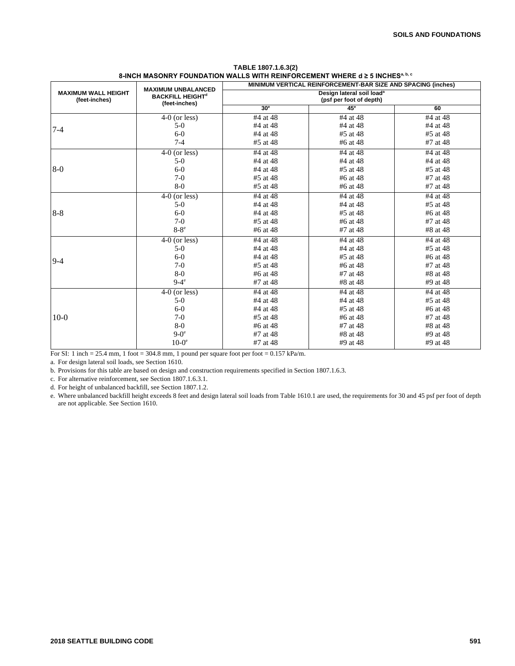|                                             | <b>MAXIMUM UNBALANCED</b>                           |                                                                  |              | MINIMUM VERTICAL REINFORCEMENT-BAR SIZE AND SPACING (inches) |  |
|---------------------------------------------|-----------------------------------------------------|------------------------------------------------------------------|--------------|--------------------------------------------------------------|--|
| <b>MAXIMUM WALL HEIGHT</b><br>(feet-inches) | <b>BACKFILL HEIGHT<sup>d</sup></b><br>(feet-inches) | Design lateral soil load <sup>a</sup><br>(psf per foot of depth) |              |                                                              |  |
|                                             |                                                     | 30 <sup>e</sup>                                                  | $45^{\circ}$ | 60                                                           |  |
|                                             | $4-0$ (or less)                                     | #4 at 48                                                         | #4 at 48     | #4 at 48                                                     |  |
| $7 - 4$                                     | $5-0$                                               | #4 at 48                                                         | #4 at 48     | #4 at 48                                                     |  |
|                                             | $6-0$                                               | #4 at 48                                                         | #5 at 48     | #5 at 48                                                     |  |
|                                             | $7 - 4$                                             | #5 at 48                                                         | #6 at 48     | #7 at 48                                                     |  |
|                                             | $4-0$ (or less)                                     | #4 at 48                                                         | #4 at 48     | #4 at $48$                                                   |  |
|                                             | $5-0$                                               | #4 at 48                                                         | #4 at 48     | #4 at 48                                                     |  |
| $8-0$                                       | $6-0$                                               | #4 at 48                                                         | #5 at 48     | #5 at 48                                                     |  |
|                                             | $7-0$                                               | #5 at 48                                                         | #6 at 48     | #7 at 48                                                     |  |
|                                             | $8-0$                                               | #5 at 48                                                         | #6 at 48     | #7 at 48                                                     |  |
|                                             | $4-0$ (or less)                                     | #4 at 48                                                         | #4 at 48     | #4 at 48                                                     |  |
|                                             | $5-0$                                               | #4 at 48                                                         | #4 at 48     | #5 at 48                                                     |  |
| $8 - 8$                                     | $6-0$                                               | #4 at 48                                                         | #5 at 48     | #6 at 48                                                     |  |
|                                             | $7-0$                                               | #5 at 48                                                         | #6 at 48     | #7 at 48                                                     |  |
|                                             | $8-8$ <sup>e</sup>                                  | #6 at 48                                                         | #7 at 48     | #8 at 48                                                     |  |
|                                             | $4-0$ (or less)                                     | #4 at 48                                                         | #4 at 48     | #4 at 48                                                     |  |
|                                             | $5-0$                                               | #4 at 48                                                         | #4 at 48     | #5 at 48                                                     |  |
| $9 - 4$                                     | $6-0$                                               | #4 at 48                                                         | #5 at 48     | #6 at 48                                                     |  |
|                                             | $7-0$                                               | #5 at 48                                                         | #6 at 48     | #7 at 48                                                     |  |
|                                             | $8-0$                                               | #6 at 48                                                         | #7 at 48     | #8 at 48                                                     |  |
|                                             | $9-4^\circ$                                         | #7 at 48                                                         | #8 at 48     | #9 at 48                                                     |  |
|                                             | $4-0$ (or less)                                     | #4 at 48                                                         | #4 at 48     | #4 at 48                                                     |  |
|                                             | $5-0$                                               | #4 at 48                                                         | #4 at 48     | #5 at 48                                                     |  |
|                                             | $6-0$                                               | #4 at 48                                                         | #5 at 48     | #6 at 48                                                     |  |
| $10-0$                                      | $7-0$                                               | #5 at 48                                                         | #6 at 48     | #7 at 48                                                     |  |
|                                             | $8-0$                                               | #6 at 48                                                         | #7 at 48     | #8 at 48                                                     |  |
|                                             | $9-0$ <sup>e</sup>                                  | #7 at 48                                                         | #8 at 48     | #9 at 48                                                     |  |
|                                             | $10-0$ <sup>e</sup>                                 | #7 at 48                                                         | #9 at 48     | #9 at 48                                                     |  |

# **TABLE 1807.1.6.3(2) 8-INCH MASONRY FOUNDATION WALLS WITH REINFORCEMENT WHERE d ≥ 5 INCHES a, b, c**

For SI: 1 inch = 25.4 mm, 1 foot = 304.8 mm, 1 pound per square foot per foot =  $0.157$  kPa/m.

a. For design lateral soil loads, see Section 1610.

b. Provisions for this table are based on design and construction requirements specified in Section 1807.1.6.3.

c. For alternative reinforcement, see Section 1807.1.6.3.1.

d. For height of unbalanced backfill, see Section 1807.1.2.

e. Where unbalanced backfill height exceeds 8 feet and design lateral soil loads from Table 1610.1 are used, the requirements for 30 and 45 psf per foot of depth are not applicable. See Section 1610.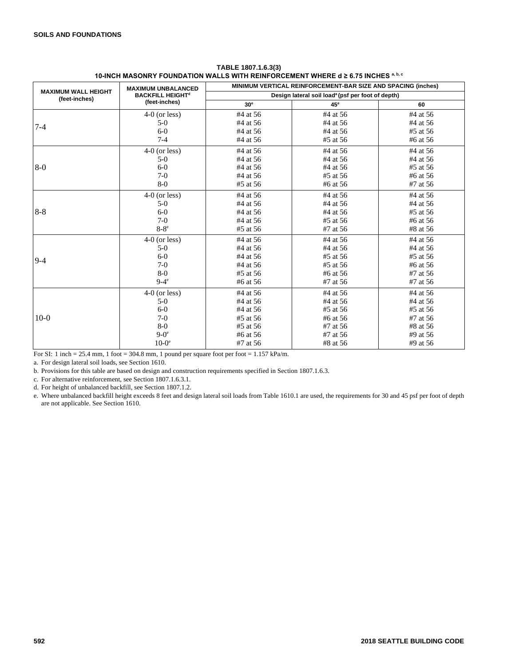|                                             | <b>MAXIMUM UNBALANCED</b>          | MINIMUM VERTICAL REINFORCEMENT-BAR SIZE AND SPACING (inches)  |              |          |  |
|---------------------------------------------|------------------------------------|---------------------------------------------------------------|--------------|----------|--|
| <b>MAXIMUM WALL HEIGHT</b><br>(feet-inches) | <b>BACKFILL HEIGHT<sup>d</sup></b> | Design lateral soil load <sup>a</sup> (psf per foot of depth) |              |          |  |
|                                             | (feet-inches)                      | 30 <sup>e</sup>                                               | $45^{\circ}$ | 60       |  |
|                                             | $4-0$ (or less)                    | #4 at 56                                                      | #4 at 56     | #4 at 56 |  |
| $7 - 4$                                     | $5-0$                              | #4 at 56                                                      | #4 at 56     | #4 at 56 |  |
|                                             | $6-0$                              | #4 at 56                                                      | #4 at 56     | #5 at 56 |  |
|                                             | $7-4$                              | #4 at 56                                                      | #5 at 56     | #6 at 56 |  |
|                                             | $4-0$ (or less)                    | #4 at 56                                                      | #4 at 56     | #4 at 56 |  |
|                                             | $5-0$                              | #4 at 56                                                      | #4 at 56     | #4 at 56 |  |
| $8-0$                                       | $6-0$                              | #4 at 56                                                      | #4 at 56     | #5 at 56 |  |
|                                             | $7-0$                              | #4 at 56                                                      | $#5$ at 56   | #6 at 56 |  |
|                                             | $8-0$                              | #5 at 56                                                      | #6 at 56     | #7 at 56 |  |
|                                             | $4-0$ (or less)                    | #4 at 56                                                      | #4 at 56     | #4 at 56 |  |
|                                             | $5-0$                              | #4 at 56                                                      | #4 at 56     | #4 at 56 |  |
| $8 - 8$                                     | $6-0$                              | #4 at 56                                                      | #4 at 56     | #5 at 56 |  |
|                                             | $7-0$                              | #4 at 56                                                      | $#5$ at 56   | #6 at 56 |  |
|                                             | $8-8^\circ$                        | #5 at 56                                                      | #7 at 56     | #8 at 56 |  |
|                                             | $4-0$ (or less)                    | #4 at 56                                                      | #4 at 56     | #4 at 56 |  |
|                                             | $5-0$                              | #4 at 56                                                      | #4 at 56     | #4 at 56 |  |
| $9 - 4$                                     | $6-0$                              | #4 at 56                                                      | $#5$ at 56   | #5 at 56 |  |
|                                             | $7-0$                              | #4 at 56                                                      | #5 at 56     | #6 at 56 |  |
|                                             | $8-0$                              | #5 at 56                                                      | #6 at 56     | #7 at 56 |  |
|                                             | $9-4^\circ$                        | #6 at 56                                                      | #7 at 56     | #7 at 56 |  |
|                                             | $4-0$ (or less)                    | #4 at 56                                                      | #4 at 56     | #4 at 56 |  |
|                                             | $5-0$                              | #4 at 56                                                      | #4 at 56     | #4 at 56 |  |
|                                             | $6-0$                              | #4 at 56                                                      | #5 at 56     | #5 at 56 |  |
| $10-0$                                      | $7-0$                              | #5 at 56                                                      | #6 at 56     | #7 at 56 |  |
|                                             | $8-0$                              | #5 at 56                                                      | #7 at 56     | #8 at 56 |  |
|                                             | $9-0^\circ$                        | #6 at 56                                                      | #7 at 56     | #9 at 56 |  |
|                                             | $10-0$ <sup>e</sup>                | #7 at 56                                                      | #8 at 56     | #9 at 56 |  |

# **TABLE 1807.1.6.3(3) 10-INCH MASONRY FOUNDATION WALLS WITH REINFORCEMENT WHERE d ≥ 6.75 INCHES a, b, c**

For SI: 1 inch = 25.4 mm, 1 foot = 304.8 mm, 1 pound per square foot per foot = 1.157 kPa/m.

a. For design lateral soil loads, see Section 1610.

b. Provisions for this table are based on design and construction requirements specified in Section 1807.1.6.3.

c. For alternative reinforcement, see Section 1807.1.6.3.1.

d. For height of unbalanced backfill, see Section 1807.1.2.

e. Where unbalanced backfill height exceeds 8 feet and design lateral soil loads from Table 1610.1 are used, the requirements for 30 and 45 psf per foot of depth are not applicable. See Section 1610.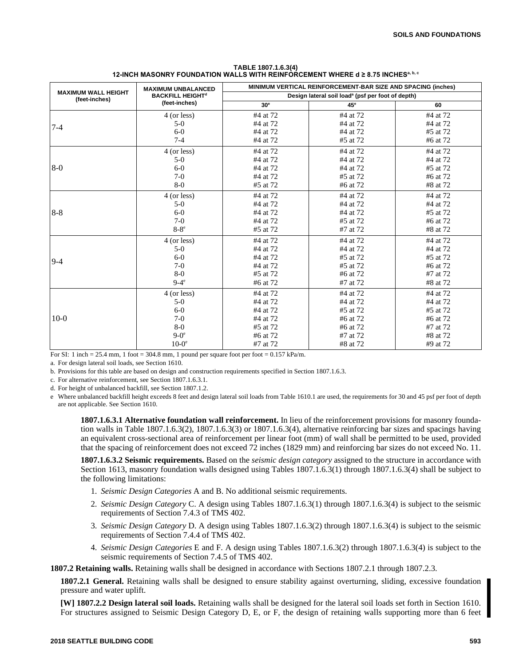|                                             | <b>MAXIMUM UNBALANCED</b>          | MINIMUM VERTICAL REINFORCEMENT-BAR SIZE AND SPACING (inches)  |                 |          |  |
|---------------------------------------------|------------------------------------|---------------------------------------------------------------|-----------------|----------|--|
| <b>MAXIMUM WALL HEIGHT</b><br>(feet-inches) | <b>BACKFILL HEIGHT<sup>d</sup></b> | Design lateral soil load <sup>a</sup> (psf per foot of depth) |                 |          |  |
|                                             | (feet-inches)                      | 30 <sup>e</sup>                                               | 45 <sup>e</sup> | 60       |  |
|                                             | 4 (or less)                        | #4 at 72                                                      | #4 at 72        | #4 at 72 |  |
| $7 - 4$                                     | $5-0$                              | #4 at 72                                                      | #4 at 72        | #4 at 72 |  |
|                                             | $6-0$                              | #4 at 72                                                      | #4 at 72        | #5 at 72 |  |
|                                             | $7 - 4$                            | #4 at 72                                                      | #5 at 72        | #6 at 72 |  |
|                                             | 4 (or less)                        | #4 at 72                                                      | #4 at 72        | #4 at 72 |  |
|                                             | $5-0$                              | #4 at 72                                                      | #4 at 72        | #4 at 72 |  |
| $8-0$                                       | $6-0$                              | #4 at 72                                                      | #4 at 72        | #5 at 72 |  |
|                                             | $7-0$                              | #4 at 72                                                      | #5 at 72        | #6 at 72 |  |
|                                             | $8-0$                              | #5 at 72                                                      | #6 at 72        | #8 at 72 |  |
|                                             | 4 (or less)                        | #4 at 72                                                      | #4 at 72        | #4 at 72 |  |
|                                             | $5-0$                              | #4 at 72                                                      | #4 at 72        | #4 at 72 |  |
| $8-8$                                       | $6-0$                              | #4 at 72                                                      | #4 at 72        | #5 at 72 |  |
|                                             | $7-0$                              | #4 at 72                                                      | #5 at 72        | #6 at 72 |  |
|                                             | $8-8$ <sup>e</sup>                 | #5 at 72                                                      | #7 at 72        | #8 at 72 |  |
|                                             | 4 (or less)                        | #4 at 72                                                      | #4 at 72        | #4 at 72 |  |
|                                             | $5-0$                              | #4 at 72                                                      | #4 at 72        | #4 at 72 |  |
| $9-4$                                       | $6-0$                              | #4 at 72                                                      | #5 at 72        | #5 at 72 |  |
|                                             | $7-0$                              | #4 at 72                                                      | #5 at 72        | #6 at 72 |  |
|                                             | $8-0$                              | #5 at 72                                                      | #6 at 72        | #7 at 72 |  |
|                                             | $9-4^\circ$                        | #6 at 72                                                      | #7 at 72        | #8 at 72 |  |
|                                             | 4 (or less)                        | #4 at 72                                                      | #4 at 72        | #4 at 72 |  |
|                                             | $5-0$                              | #4 at 72                                                      | #4 at 72        | #4 at 72 |  |
|                                             | $6-0$                              | #4 at 72                                                      | #5 at 72        | #5 at 72 |  |
| $10-0$                                      | $7-0$                              | #4 at 72                                                      | #6 at 72        | #6 at 72 |  |
|                                             | $8-0$                              | #5 at 72                                                      | #6 at 72        | #7 at 72 |  |
|                                             | $9-0^\circ$                        | #6 at 72                                                      | #7 at 72        | #8 at 72 |  |
|                                             | $10-0$ <sup>e</sup>                | #7 at 72                                                      | #8 at 72        | #9 at 72 |  |

#### **TABLE 1807.1.6.3(4) 12-INCH MASONRY FOUNDATION WALLS WITH REINFORCEMENT WHERE d ≥ 8.75 INCHES a, b, c**

For SI: 1 inch = 25.4 mm, 1 foot = 304.8 mm, 1 pound per square foot per foot =  $0.157$  kPa/m.

a. For design lateral soil loads, see Section 1610.

b. Provisions for this table are based on design and construction requirements specified in Section 1807.1.6.3.

c. For alternative reinforcement, see Section 1807.1.6.3.1.

d. For height of unbalanced backfill, see Section 1807.1.2.

e Where unbalanced backfill height exceeds 8 feet and design lateral soil loads from Table 1610.1 are used, the requirements for 30 and 45 psf per foot of depth are not applicable. See Section 1610.

**1807.1.6.3.1 Alternative foundation wall reinforcement.** In lieu of the reinforcement provisions for masonry foundation walls in Table 1807.1.6.3(2), 1807.1.6.3(3) or 1807.1.6.3(4), alternative reinforcing bar sizes and spacings having an equivalent cross-sectional area of reinforcement per linear foot (mm) of wall shall be permitted to be used, provided that the spacing of reinforcement does not exceed 72 inches (1829 mm) and reinforcing bar sizes do not exceed No. 11.

**1807.1.6.3.2 Seismic requirements.** Based on the *seismic design category* assigned to the structure in accordance with Section 1613, masonry foundation walls designed using Tables 1807.1.6.3(1) through 1807.1.6.3(4) shall be subject to the following limitations:

- 1. *Seismic Design Categories* A and B. No additional seismic requirements.
- 2. *Seismic Design Category* C. A design using Tables 1807.1.6.3(1) through 1807.1.6.3(4) is subject to the seismic requirements of Section 7.4.3 of TMS 402.
- 3. *Seismic Design Category* D. A design using Tables 1807.1.6.3(2) through 1807.1.6.3(4) is subject to the seismic requirements of Section 7.4.4 of TMS 402.
- 4. *Seismic Design Categories* E and F. A design using Tables 1807.1.6.3(2) through 1807.1.6.3(4) is subject to the seismic requirements of Section 7.4.5 of TMS 402.

**1807.2 Retaining walls.** Retaining walls shall be designed in accordance with Sections 1807.2.1 through 1807.2.3.

**1807.2.1 General.** Retaining walls shall be designed to ensure stability against overturning, sliding, excessive foundation pressure and water uplift.

**[W] 1807.2.2 Design lateral soil loads.** Retaining walls shall be designed for the lateral soil loads set forth in Section 1610. For structures assigned to Seismic Design Category D, E, or F, the design of retaining walls supporting more than 6 feet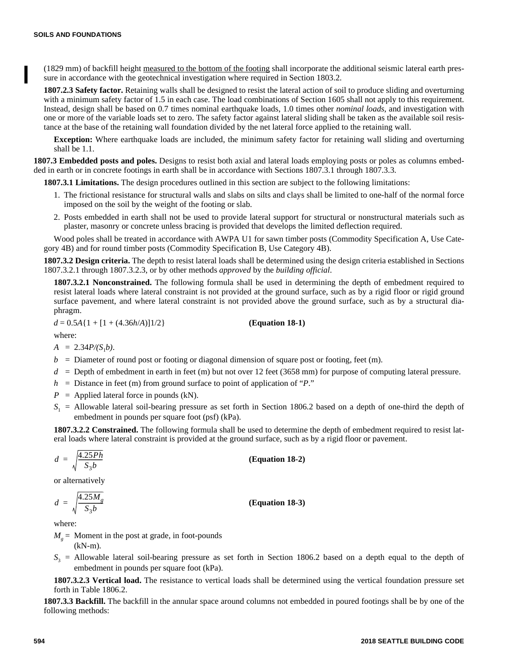(1829 mm) of backfill height measured to the bottom of the footing shall incorporate the additional seismic lateral earth pressure in accordance with the geotechnical investigation where required in Section 1803.2.

**1807.2.3 Safety factor.** Retaining walls shall be designed to resist the lateral action of soil to produce sliding and overturning with a minimum safety factor of 1.5 in each case. The load combinations of Section 1605 shall not apply to this requirement. Instead, design shall be based on 0.7 times nominal earthquake loads, 1.0 times other *nominal loads*, and investigation with one or more of the variable loads set to zero. The safety factor against lateral sliding shall be taken as the available soil resistance at the base of the retaining wall foundation divided by the net lateral force applied to the retaining wall.

**Exception:** Where earthquake loads are included, the minimum safety factor for retaining wall sliding and overturning shall be 1.1.

**1807.3 Embedded posts and poles.** Designs to resist both axial and lateral loads employing posts or poles as columns embedded in earth or in concrete footings in earth shall be in accordance with Sections 1807.3.1 through 1807.3.3.

**1807.3.1 Limitations.** The design procedures outlined in this section are subject to the following limitations:

- 1. The frictional resistance for structural walls and slabs on silts and clays shall be limited to one-half of the normal force imposed on the soil by the weight of the footing or slab.
- 2. Posts embedded in earth shall not be used to provide lateral support for structural or nonstructural materials such as plaster, masonry or concrete unless bracing is provided that develops the limited deflection required.

Wood poles shall be treated in accordance with AWPA U1 for sawn timber posts (Commodity Specification A, Use Category 4B) and for round timber posts (Commodity Specification B, Use Category 4B).

**1807.3.2 Design criteria.** The depth to resist lateral loads shall be determined using the design criteria established in Sections 1807.3.2.1 through 1807.3.2.3, or by other methods *approved* by the *building official*.

**1807.3.2.1 Nonconstrained.** The following formula shall be used in determining the depth of embedment required to resist lateral loads where lateral constraint is not provided at the ground surface, such as by a rigid floor or rigid ground surface pavement, and where lateral constraint is not provided above the ground surface, such as by a structural diaphragm.

*d* = 0.5*A*{1 + [1 + (4.36*h*/*A*)]1/2} **(Equation 18-1)**

where:

 $A = 2.34P/(S_1b)$ .

- $b =$  Diameter of round post or footing or diagonal dimension of square post or footing, feet (m).
- *d* = Depth of embedment in earth in feet (m) but not over 12 feet (3658 mm) for purpose of computing lateral pressure.
- *h* = Distance in feet (m) from ground surface to point of application of "*P*."
- $P =$  Applied lateral force in pounds (kN).
- $S_1$  = Allowable lateral soil-bearing pressure as set forth in Section 1806.2 based on a depth of one-third the depth of embedment in pounds per square foot (psf) (kPa).

**1807.3.2.2 Constrained.** The following formula shall be used to determine the depth of embedment required to resist lateral loads where lateral constraint is provided at the ground surface, such as by a rigid floor or pavement.

$$
d = \sqrt{\frac{4.25Ph}{S_3b}}
$$
 (Equation 18-2)

or alternatively

$$
d = \sqrt{\frac{4.25M_g}{S_3b}}
$$

where:

 $M<sub>g</sub>$  = Moment in the post at grade, in foot-pounds

(kN-m).

 $S_3$  = Allowable lateral soil-bearing pressure as set forth in Section 1806.2 based on a depth equal to the depth of embedment in pounds per square foot (kPa).

**(Equation 18-3)**

**1807.3.2.3 Vertical load.** The resistance to vertical loads shall be determined using the vertical foundation pressure set forth in Table 1806.2.

**1807.3.3 Backfill.** The backfill in the annular space around columns not embedded in poured footings shall be by one of the following methods: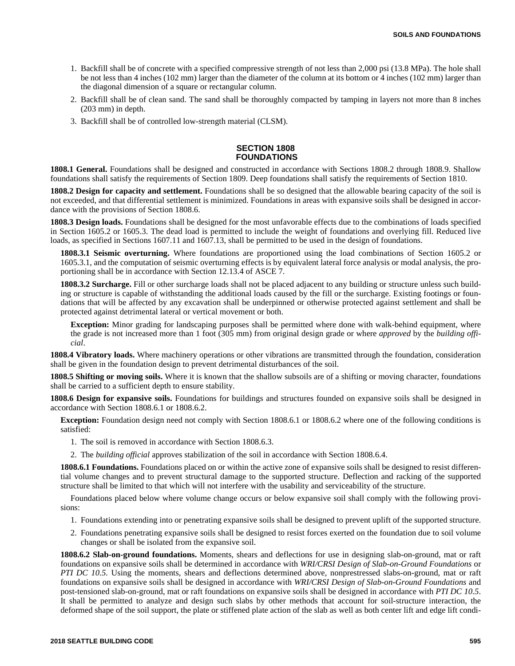- 1. Backfill shall be of concrete with a specified compressive strength of not less than 2,000 psi (13.8 MPa). The hole shall be not less than 4 inches (102 mm) larger than the diameter of the column at its bottom or 4 inches (102 mm) larger than the diagonal dimension of a square or rectangular column.
- 2. Backfill shall be of clean sand. The sand shall be thoroughly compacted by tamping in layers not more than 8 inches (203 mm) in depth.
- 3. Backfill shall be of controlled low-strength material (CLSM).

# **SECTION 1808 FOUNDATIONS**

**1808.1 General.** Foundations shall be designed and constructed in accordance with Sections 1808.2 through 1808.9. Shallow foundations shall satisfy the requirements of Section 1809. Deep foundations shall satisfy the requirements of Section 1810.

**1808.2 Design for capacity and settlement.** Foundations shall be so designed that the allowable bearing capacity of the soil is not exceeded, and that differential settlement is minimized. Foundations in areas with expansive soils shall be designed in accordance with the provisions of Section 1808.6.

**1808.3 Design loads.** Foundations shall be designed for the most unfavorable effects due to the combinations of loads specified in Section 1605.2 or 1605.3. The dead load is permitted to include the weight of foundations and overlying fill. Reduced live loads, as specified in Sections 1607.11 and 1607.13, shall be permitted to be used in the design of foundations.

**1808.3.1 Seismic overturning.** Where foundations are proportioned using the load combinations of Section 1605.2 or 1605.3.1, and the computation of seismic overturning effects is by equivalent lateral force analysis or modal analysis, the proportioning shall be in accordance with Section 12.13.4 of ASCE 7.

**1808.3.2 Surcharge.** Fill or other surcharge loads shall not be placed adjacent to any building or structure unless such building or structure is capable of withstanding the additional loads caused by the fill or the surcharge. Existing footings or foundations that will be affected by any excavation shall be underpinned or otherwise protected against settlement and shall be protected against detrimental lateral or vertical movement or both.

**Exception:** Minor grading for landscaping purposes shall be permitted where done with walk-behind equipment, where the grade is not increased more than 1 foot (305 mm) from original design grade or where *approved* by the *building official*.

**1808.4 Vibratory loads.** Where machinery operations or other vibrations are transmitted through the foundation, consideration shall be given in the foundation design to prevent detrimental disturbances of the soil.

**1808.5 Shifting or moving soils.** Where it is known that the shallow subsoils are of a shifting or moving character, foundations shall be carried to a sufficient depth to ensure stability.

**1808.6 Design for expansive soils.** Foundations for buildings and structures founded on expansive soils shall be designed in accordance with Section 1808.6.1 or 1808.6.2.

**Exception:** Foundation design need not comply with Section 1808.6.1 or 1808.6.2 where one of the following conditions is satisfied:

- 1. The soil is removed in accordance with Section 1808.6.3.
- 2. The *building official* approves stabilization of the soil in accordance with Section 1808.6.4.

**1808.6.1 Foundations.** Foundations placed on or within the active zone of expansive soils shall be designed to resist differential volume changes and to prevent structural damage to the supported structure. Deflection and racking of the supported structure shall be limited to that which will not interfere with the usability and serviceability of the structure.

Foundations placed below where volume change occurs or below expansive soil shall comply with the following provisions:

- 1. Foundations extending into or penetrating expansive soils shall be designed to prevent uplift of the supported structure.
- 2. Foundations penetrating expansive soils shall be designed to resist forces exerted on the foundation due to soil volume changes or shall be isolated from the expansive soil.

**1808.6.2 Slab-on-ground foundations.** Moments, shears and deflections for use in designing slab-on-ground, mat or raft foundations on expansive soils shall be determined in accordance with *WRI/CRSI Design of Slab-on-Ground Foundations* or *PTI DC 10.5.* Using the moments, shears and deflections determined above, nonprestressed slabs-on-ground, mat or raft foundations on expansive soils shall be designed in accordance with *WRI/CRSI Design of Slab-on-Ground Foundations* and post-tensioned slab-on-ground, mat or raft foundations on expansive soils shall be designed in accordance with *PTI DC 10.5*. It shall be permitted to analyze and design such slabs by other methods that account for soil-structure interaction, the deformed shape of the soil support, the plate or stiffened plate action of the slab as well as both center lift and edge lift condi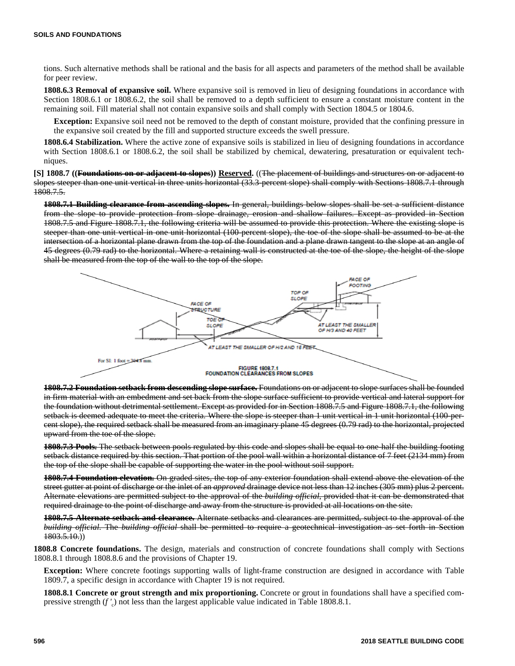tions. Such alternative methods shall be rational and the basis for all aspects and parameters of the method shall be available for peer review.

**1808.6.3 Removal of expansive soil.** Where expansive soil is removed in lieu of designing foundations in accordance with Section 1808.6.1 or 1808.6.2, the soil shall be removed to a depth sufficient to ensure a constant moisture content in the remaining soil. Fill material shall not contain expansive soils and shall comply with Section 1804.5 or 1804.6.

**Exception:** Expansive soil need not be removed to the depth of constant moisture, provided that the confining pressure in the expansive soil created by the fill and supported structure exceeds the swell pressure.

**1808.6.4 Stabilization.** Where the active zone of expansive soils is stabilized in lieu of designing foundations in accordance with Section 1808.6.1 or 1808.6.2, the soil shall be stabilized by chemical, dewatering, presaturation or equivalent techniques.

**[S] 1808.7 ((Foundations on or adjacent to slopes)) Reserved.** ((The placement of buildings and structures on or adjacent to slopes steeper than one unit vertical in three units horizontal (33.3-percent slope) shall comply with Sections 1808.7.1 through 1808.7.5.

**1808.7.1 Building clearance from ascending slopes.** In general, buildings below slopes shall be set a sufficient distance from the slope to provide protection from slope drainage, erosion and shallow failures. Except as provided in Section 1808.7.5 and Figure 1808.7.1, the following criteria will be assumed to provide this protection. Where the existing slope is steeper than one unit vertical in one unit horizontal (100-percent slope), the toe of the slope shall be assumed to be at the intersection of a horizontal plane drawn from the top of the foundation and a plane drawn tangent to the slope at an angle of 45 degrees (0.79 rad) to the horizontal. Where a retaining wall is constructed at the toe of the slope, the height of the slope shall be measured from the top of the wall to the top of the slope.



**1808.7.2 Foundation setback from descending slope surface.** Foundations on or adjacent to slope surfaces shall be founded in firm material with an embedment and set back from the slope surface sufficient to provide vertical and lateral support for the foundation without detrimental settlement. Except as provided for in Section 1808.7.5 and Figure 1808.7.1, the following setback is deemed adequate to meet the criteria. Where the slope is steeper than 1 unit vertical in 1 unit horizontal (100 percent slope), the required setback shall be measured from an imaginary plane 45 degrees (0.79 rad) to the horizontal, projected upward from the toe of the slope.

**1808.7.3 Pools.** The setback between pools regulated by this code and slopes shall be equal to one-half the building footing setback distance required by this section. That portion of the pool wall within a horizontal distance of 7 feet (2134 mm) from the top of the slope shall be capable of supporting the water in the pool without soil support.

**1808.7.4 Foundation elevation.** On graded sites, the top of any exterior foundation shall extend above the elevation of the street gutter at point of discharge or the inlet of an *approved* drainage device not less than 12 inches (305 mm) plus 2 percent. Alternate elevations are permitted subject to the approval of the *building official*, provided that it can be demonstrated that required drainage to the point of discharge and away from the structure is provided at all locations on the site.

**1808.7.5 Alternate setback and clearance.** Alternate setbacks and clearances are permitted, subject to the approval of the *building official*. The *building official* shall be permitted to require a geotechnical investigation as set forth in Section  $1803.5.10.$ )

**1808.8 Concrete foundations.** The design, materials and construction of concrete foundations shall comply with Sections 1808.8.1 through 1808.8.6 and the provisions of Chapter 19.

**Exception:** Where concrete footings supporting walls of light-frame construction are designed in accordance with Table 1809.7, a specific design in accordance with Chapter 19 is not required.

**1808.8.1 Concrete or grout strength and mix proportioning.** Concrete or grout in foundations shall have a specified compressive strength (*f'*<sub>c</sub>) not less than the largest applicable value indicated in Table 1808.8.1.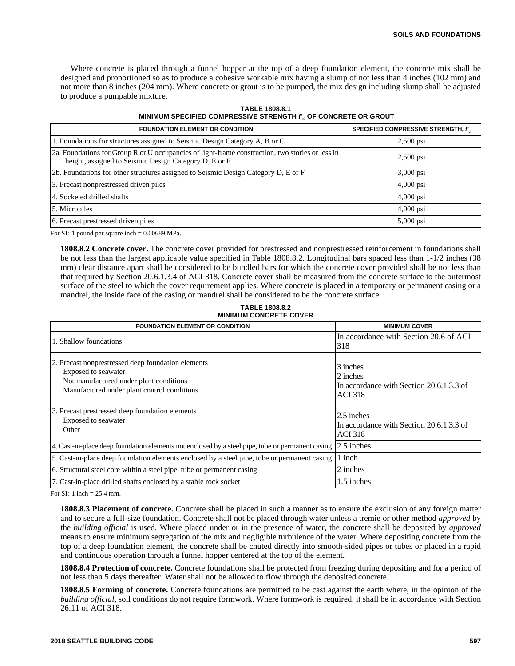Where concrete is placed through a funnel hopper at the top of a deep foundation element, the concrete mix shall be designed and proportioned so as to produce a cohesive workable mix having a slump of not less than 4 inches (102 mm) and not more than 8 inches (204 mm). Where concrete or grout is to be pumped, the mix design including slump shall be adjusted to produce a pumpable mixture.

| <b>FOUNDATION ELEMENT OR CONDITION</b>                                                                                                                    | SPECIFIED COMPRESSIVE STRENGTH, f' |
|-----------------------------------------------------------------------------------------------------------------------------------------------------------|------------------------------------|
| 1. Foundations for structures assigned to Seismic Design Category A, B or C                                                                               | $2,500$ psi                        |
| 2a. Foundations for Group R or U occupancies of light-frame construction, two stories or less in<br>height, assigned to Seismic Design Category D, E or F | $2,500$ psi                        |
| 2b. Foundations for other structures assigned to Seismic Design Category D, E or F                                                                        | $3,000$ psi                        |
| 3. Precast nonprestressed driven piles                                                                                                                    | $4,000$ psi                        |
| 4. Socketed drilled shafts                                                                                                                                | $4,000$ psi                        |
| 5. Micropiles                                                                                                                                             | $4,000$ psi                        |
| 6. Precast prestressed driven piles                                                                                                                       | 5,000 psi                          |

#### **TABLE 1808.8.1 MINIMUM SPECIFIED COMPRESSIVE STRENGTH** *f'<sup>C</sup>*  **OF CONCRETE OR GROUT**

For SI: 1 pound per square inch  $= 0.00689$  MPa.

**1808.8.2 Concrete cover.** The concrete cover provided for prestressed and nonprestressed reinforcement in foundations shall be not less than the largest applicable value specified in Table 1808.8.2. Longitudinal bars spaced less than 1-1/2 inches (38 mm) clear distance apart shall be considered to be bundled bars for which the concrete cover provided shall be not less than that required by Section 20.6.1.3.4 of ACI 318. Concrete cover shall be measured from the concrete surface to the outermost surface of the steel to which the cover requirement applies. Where concrete is placed in a temporary or permanent casing or a mandrel, the inside face of the casing or mandrel shall be considered to be the concrete surface.

| <b>FOUNDATION ELEMENT OR CONDITION</b>                                                                                                                              | <b>MINIMUM COVER</b>                                                               |
|---------------------------------------------------------------------------------------------------------------------------------------------------------------------|------------------------------------------------------------------------------------|
| 1. Shallow foundations                                                                                                                                              | In accordance with Section 20.6 of ACI<br>318                                      |
| 2. Precast nonprestressed deep foundation elements<br>Exposed to seawater<br>Not manufactured under plant conditions<br>Manufactured under plant control conditions | 3 inches<br>2 inches<br>In accordance with Section 20.6.1.3.3 of<br><b>ACI 318</b> |
| 3. Precast prestressed deep foundation elements<br>Exposed to seawater<br>Other                                                                                     | 2.5 inches<br>In accordance with Section 20.6.1.3.3 of<br><b>ACI 318</b>           |
| 4. Cast-in-place deep foundation elements not enclosed by a steel pipe, tube or permanent casing                                                                    | 2.5 inches                                                                         |
| 5. Cast-in-place deep foundation elements enclosed by a steel pipe, tube or permanent casing                                                                        | 1 inch                                                                             |
| 6. Structural steel core within a steel pipe, tube or permanent casing                                                                                              | 2 inches                                                                           |
| 7. Cast-in-place drilled shafts enclosed by a stable rock socket                                                                                                    | 1.5 inches                                                                         |

**TABLE 1808.8.2 MINIMUM CONCRETE COVER**

For SI: 1 inch  $= 25.4$  mm.

**1808.8.3 Placement of concrete.** Concrete shall be placed in such a manner as to ensure the exclusion of any foreign matter and to secure a full-size foundation. Concrete shall not be placed through water unless a tremie or other method *approved* by the *building official* is used. Where placed under or in the presence of water, the concrete shall be deposited by *approved* means to ensure minimum segregation of the mix and negligible turbulence of the water. Where depositing concrete from the top of a deep foundation element, the concrete shall be chuted directly into smooth-sided pipes or tubes or placed in a rapid and continuous operation through a funnel hopper centered at the top of the element.

**1808.8.4 Protection of concrete.** Concrete foundations shall be protected from freezing during depositing and for a period of not less than 5 days thereafter. Water shall not be allowed to flow through the deposited concrete.

**1808.8.5 Forming of concrete.** Concrete foundations are permitted to be cast against the earth where, in the opinion of the *building official*, soil conditions do not require formwork. Where formwork is required, it shall be in accordance with Section 26.11 of ACI 318.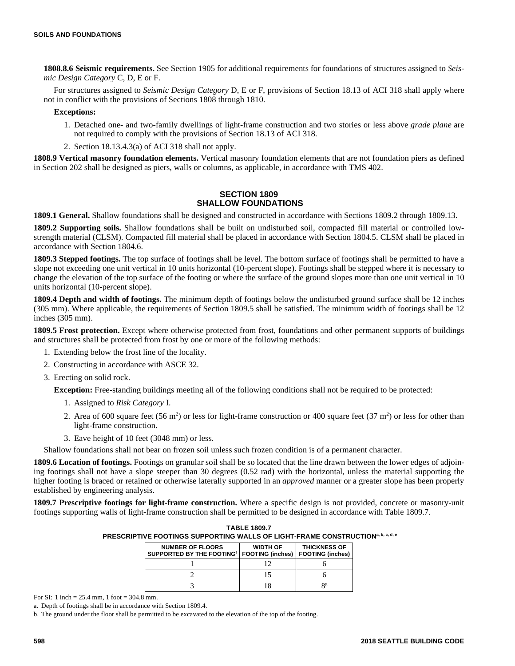**1808.8.6 Seismic requirements.** See Section 1905 for additional requirements for foundations of structures assigned to *Seismic Design Category* C, D, E or F.

For structures assigned to *Seismic Design Category* D, E or F, provisions of Section 18.13 of ACI 318 shall apply where not in conflict with the provisions of Sections 1808 through 1810.

#### **Exceptions:**

- 1. Detached one- and two-family dwellings of light-frame construction and two stories or less above *grade plane* are not required to comply with the provisions of Section 18.13 of ACI 318.
- 2. Section 18.13.4.3(a) of ACI 318 shall not apply.

**1808.9 Vertical masonry foundation elements.** Vertical masonry foundation elements that are not foundation piers as defined in Section 202 shall be designed as piers, walls or columns, as applicable, in accordance with TMS 402.

## **SECTION 1809 SHALLOW FOUNDATIONS**

**1809.1 General.** Shallow foundations shall be designed and constructed in accordance with Sections 1809.2 through 1809.13.

**1809.2 Supporting soils.** Shallow foundations shall be built on undisturbed soil, compacted fill material or controlled lowstrength material (CLSM). Compacted fill material shall be placed in accordance with Section 1804.5. CLSM shall be placed in accordance with Section 1804.6.

**1809.3 Stepped footings.** The top surface of footings shall be level. The bottom surface of footings shall be permitted to have a slope not exceeding one unit vertical in 10 units horizontal (10-percent slope). Footings shall be stepped where it is necessary to change the elevation of the top surface of the footing or where the surface of the ground slopes more than one unit vertical in 10 units horizontal (10-percent slope).

**1809.4 Depth and width of footings.** The minimum depth of footings below the undisturbed ground surface shall be 12 inches (305 mm). Where applicable, the requirements of Section 1809.5 shall be satisfied. The minimum width of footings shall be 12 inches (305 mm).

**1809.5 Frost protection.** Except where otherwise protected from frost, foundations and other permanent supports of buildings and structures shall be protected from frost by one or more of the following methods:

- 1. Extending below the frost line of the locality.
- 2. Constructing in accordance with ASCE 32.
- 3. Erecting on solid rock.

**Exception:** Free-standing buildings meeting all of the following conditions shall not be required to be protected:

- 1. Assigned to *Risk Category* I.
- 2. Area of 600 square feet (56 m<sup>2</sup>) or less for light-frame construction or 400 square feet (37 m<sup>2</sup>) or less for other than light-frame construction.
- 3. Eave height of 10 feet (3048 mm) or less.

Shallow foundations shall not bear on frozen soil unless such frozen condition is of a permanent character.

**1809.6 Location of footings.** Footings on granular soil shall be so located that the line drawn between the lower edges of adjoining footings shall not have a slope steeper than 30 degrees (0.52 rad) with the horizontal, unless the material supporting the higher footing is braced or retained or otherwise laterally supported in an *approved* manner or a greater slope has been properly established by engineering analysis.

**1809.7 Prescriptive footings for light-frame construction.** Where a specific design is not provided, concrete or masonry-unit footings supporting walls of light-frame construction shall be permitted to be designed in accordance with Table 1809.7.

| <u>IVE FUUTINGS SUFFURTING WALLS UF LIGHT-FRAME CUNSTRU</u>                                          |                 |                     |  |  |  |
|------------------------------------------------------------------------------------------------------|-----------------|---------------------|--|--|--|
| <b>NUMBER OF FLOORS</b><br>SUPPORTED BY THE FOOTING <sup>†</sup> FOOTING (inches)   FOOTING (inches) | <b>WIDTH OF</b> | <b>THICKNESS OF</b> |  |  |  |
|                                                                                                      |                 |                     |  |  |  |
|                                                                                                      |                 |                     |  |  |  |
|                                                                                                      |                 | gg                  |  |  |  |

**TABLE 1809.7 PRESCRIPTIVE FOOTINGS SUPPORTING WALLS OF LIGHT-FRAME CONSTRUCTIONa, b, c, d, e**

For SI: 1 inch = 25.4 mm, 1 foot = 304.8 mm.

a. Depth of footings shall be in accordance with Section 1809.4.

b. The ground under the floor shall be permitted to be excavated to the elevation of the top of the footing.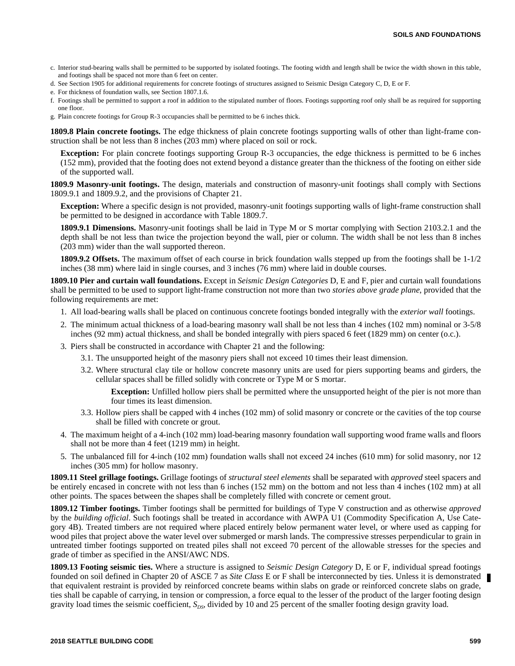- c. Interior stud-bearing walls shall be permitted to be supported by isolated footings. The footing width and length shall be twice the width shown in this table, and footings shall be spaced not more than 6 feet on center.
- d. See Section 1905 for additional requirements for concrete footings of structures assigned to Seismic Design Category C, D, E or F.
- e. For thickness of foundation walls, see Section 1807.1.6.
- f. Footings shall be permitted to support a roof in addition to the stipulated number of floors. Footings supporting roof only shall be as required for supporting one floor.
- g. Plain concrete footings for Group R-3 occupancies shall be permitted to be 6 inches thick.

**1809.8 Plain concrete footings.** The edge thickness of plain concrete footings supporting walls of other than light-frame construction shall be not less than 8 inches (203 mm) where placed on soil or rock.

**Exception:** For plain concrete footings supporting Group R-3 occupancies, the edge thickness is permitted to be 6 inches (152 mm), provided that the footing does not extend beyond a distance greater than the thickness of the footing on either side of the supported wall.

**1809.9 Masonry-unit footings.** The design, materials and construction of masonry-unit footings shall comply with Sections 1809.9.1 and 1809.9.2, and the provisions of Chapter 21.

**Exception:** Where a specific design is not provided, masonry-unit footings supporting walls of light-frame construction shall be permitted to be designed in accordance with Table 1809.7.

**1809.9.1 Dimensions.** Masonry-unit footings shall be laid in Type M or S mortar complying with Section 2103.2.1 and the depth shall be not less than twice the projection beyond the wall, pier or column. The width shall be not less than 8 inches (203 mm) wider than the wall supported thereon.

**1809.9.2 Offsets.** The maximum offset of each course in brick foundation walls stepped up from the footings shall be 1-1/2 inches (38 mm) where laid in single courses, and 3 inches (76 mm) where laid in double courses.

**1809.10 Pier and curtain wall foundations.** Except in *Seismic Design Categories* D, E and F, pier and curtain wall foundations shall be permitted to be used to support light-frame construction not more than two *stories above grade plane*, provided that the following requirements are met:

- 1. All load-bearing walls shall be placed on continuous concrete footings bonded integrally with the *exterior wall* footings.
- 2. The minimum actual thickness of a load-bearing masonry wall shall be not less than 4 inches (102 mm) nominal or 3-5/8 inches (92 mm) actual thickness, and shall be bonded integrally with piers spaced 6 feet (1829 mm) on center (o.c.).
- 3. Piers shall be constructed in accordance with Chapter 21 and the following:
	- 3.1. The unsupported height of the masonry piers shall not exceed 10 times their least dimension.
	- 3.2. Where structural clay tile or hollow concrete masonry units are used for piers supporting beams and girders, the cellular spaces shall be filled solidly with concrete or Type M or S mortar.

**Exception:** Unfilled hollow piers shall be permitted where the unsupported height of the pier is not more than four times its least dimension.

- 3.3. Hollow piers shall be capped with 4 inches (102 mm) of solid masonry or concrete or the cavities of the top course shall be filled with concrete or grout.
- 4. The maximum height of a 4-inch (102 mm) load-bearing masonry foundation wall supporting wood frame walls and floors shall not be more than 4 feet (1219 mm) in height.
- 5. The unbalanced fill for 4-inch (102 mm) foundation walls shall not exceed 24 inches (610 mm) for solid masonry, nor 12 inches (305 mm) for hollow masonry.

**1809.11 Steel grillage footings.** Grillage footings of *structural steel elements* shall be separated with *approved* steel spacers and be entirely encased in concrete with not less than 6 inches (152 mm) on the bottom and not less than 4 inches (102 mm) at all other points. The spaces between the shapes shall be completely filled with concrete or cement grout.

**1809.12 Timber footings.** Timber footings shall be permitted for buildings of Type V construction and as otherwise *approved* by the *building official*. Such footings shall be treated in accordance with AWPA U1 (Commodity Specification A, Use Category 4B). Treated timbers are not required where placed entirely below permanent water level, or where used as capping for wood piles that project above the water level over submerged or marsh lands. The compressive stresses perpendicular to grain in untreated timber footings supported on treated piles shall not exceed 70 percent of the allowable stresses for the species and grade of timber as specified in the ANSI/AWC NDS.

**1809.13 Footing seismic ties.** Where a structure is assigned to *Seismic Design Category* D, E or F, individual spread footings founded on soil defined in Chapter 20 of ASCE 7 as *Site Class* E or F shall be interconnected by ties. Unless it is demonstrated that equivalent restraint is provided by reinforced concrete beams within slabs on grade or reinforced concrete slabs on grade, ties shall be capable of carrying, in tension or compression, a force equal to the lesser of the product of the larger footing design gravity load times the seismic coefficient,  $S_{DS}$ , divided by 10 and 25 percent of the smaller footing design gravity load.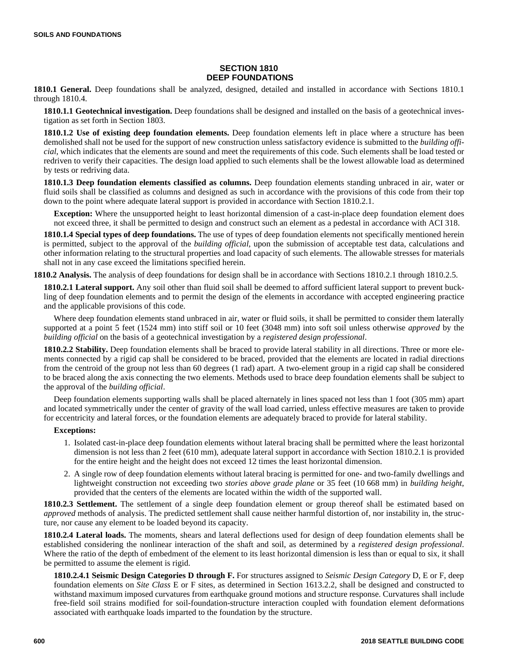# **SECTION 1810 DEEP FOUNDATIONS**

**1810.1 General.** Deep foundations shall be analyzed, designed, detailed and installed in accordance with Sections 1810.1 through 1810.4.

**1810.1.1 Geotechnical investigation.** Deep foundations shall be designed and installed on the basis of a geotechnical investigation as set forth in Section 1803.

**1810.1.2 Use of existing deep foundation elements.** Deep foundation elements left in place where a structure has been demolished shall not be used for the support of new construction unless satisfactory evidence is submitted to the *building official*, which indicates that the elements are sound and meet the requirements of this code. Such elements shall be load tested or redriven to verify their capacities. The design load applied to such elements shall be the lowest allowable load as determined by tests or redriving data.

**1810.1.3 Deep foundation elements classified as columns.** Deep foundation elements standing unbraced in air, water or fluid soils shall be classified as columns and designed as such in accordance with the provisions of this code from their top down to the point where adequate lateral support is provided in accordance with Section 1810.2.1.

**Exception:** Where the unsupported height to least horizontal dimension of a cast-in-place deep foundation element does not exceed three, it shall be permitted to design and construct such an element as a pedestal in accordance with ACI 318.

**1810.1.4 Special types of deep foundations.** The use of types of deep foundation elements not specifically mentioned herein is permitted, subject to the approval of the *building official*, upon the submission of acceptable test data, calculations and other information relating to the structural properties and load capacity of such elements. The allowable stresses for materials shall not in any case exceed the limitations specified herein.

**1810.2 Analysis.** The analysis of deep foundations for design shall be in accordance with Sections 1810.2.1 through 1810.2.5.

**1810.2.1 Lateral support.** Any soil other than fluid soil shall be deemed to afford sufficient lateral support to prevent buckling of deep foundation elements and to permit the design of the elements in accordance with accepted engineering practice and the applicable provisions of this code.

Where deep foundation elements stand unbraced in air, water or fluid soils, it shall be permitted to consider them laterally supported at a point 5 feet (1524 mm) into stiff soil or 10 feet (3048 mm) into soft soil unless otherwise *approved* by the *building official* on the basis of a geotechnical investigation by a *registered design professional*.

**1810.2.2 Stability.** Deep foundation elements shall be braced to provide lateral stability in all directions. Three or more elements connected by a rigid cap shall be considered to be braced, provided that the elements are located in radial directions from the centroid of the group not less than 60 degrees (1 rad) apart. A two-element group in a rigid cap shall be considered to be braced along the axis connecting the two elements. Methods used to brace deep foundation elements shall be subject to the approval of the *building official*.

Deep foundation elements supporting walls shall be placed alternately in lines spaced not less than 1 foot (305 mm) apart and located symmetrically under the center of gravity of the wall load carried, unless effective measures are taken to provide for eccentricity and lateral forces, or the foundation elements are adequately braced to provide for lateral stability.

## **Exceptions:**

- 1. Isolated cast-in-place deep foundation elements without lateral bracing shall be permitted where the least horizontal dimension is not less than 2 feet (610 mm), adequate lateral support in accordance with Section 1810.2.1 is provided for the entire height and the height does not exceed 12 times the least horizontal dimension.
- 2. A single row of deep foundation elements without lateral bracing is permitted for one- and two-family dwellings and lightweight construction not exceeding two *stories above grade plane* or 35 feet (10 668 mm) in *building height*, provided that the centers of the elements are located within the width of the supported wall.

**1810.2.3 Settlement.** The settlement of a single deep foundation element or group thereof shall be estimated based on *approved* methods of analysis. The predicted settlement shall cause neither harmful distortion of, nor instability in, the structure, nor cause any element to be loaded beyond its capacity.

**1810.2.4 Lateral loads.** The moments, shears and lateral deflections used for design of deep foundation elements shall be established considering the nonlinear interaction of the shaft and soil, as determined by a *registered design professional*. Where the ratio of the depth of embedment of the element to its least horizontal dimension is less than or equal to six, it shall be permitted to assume the element is rigid.

**1810.2.4.1 Seismic Design Categories D through F.** For structures assigned to *Seismic Design Category* D, E or F, deep foundation elements on *Site Class* E or F sites, as determined in Section 1613.2.2, shall be designed and constructed to withstand maximum imposed curvatures from earthquake ground motions and structure response. Curvatures shall include free-field soil strains modified for soil-foundation-structure interaction coupled with foundation element deformations associated with earthquake loads imparted to the foundation by the structure.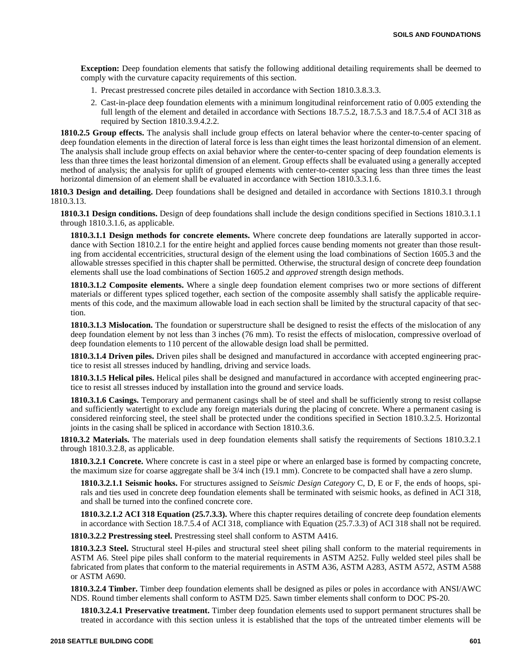**Exception:** Deep foundation elements that satisfy the following additional detailing requirements shall be deemed to comply with the curvature capacity requirements of this section.

- 1. Precast prestressed concrete piles detailed in accordance with Section 1810.3.8.3.3.
- 2. Cast-in-place deep foundation elements with a minimum longitudinal reinforcement ratio of 0.005 extending the full length of the element and detailed in accordance with Sections 18.7.5.2, 18.7.5.3 and 18.7.5.4 of ACI 318 as required by Section 1810.3.9.4.2.2.

**1810.2.5 Group effects.** The analysis shall include group effects on lateral behavior where the center-to-center spacing of deep foundation elements in the direction of lateral force is less than eight times the least horizontal dimension of an element. The analysis shall include group effects on axial behavior where the center-to-center spacing of deep foundation elements is less than three times the least horizontal dimension of an element. Group effects shall be evaluated using a generally accepted method of analysis; the analysis for uplift of grouped elements with center-to-center spacing less than three times the least horizontal dimension of an element shall be evaluated in accordance with Section 1810.3.3.1.6.

**1810.3 Design and detailing.** Deep foundations shall be designed and detailed in accordance with Sections 1810.3.1 through 1810.3.13.

**1810.3.1 Design conditions.** Design of deep foundations shall include the design conditions specified in Sections 1810.3.1.1 through 1810.3.1.6, as applicable.

**1810.3.1.1 Design methods for concrete elements.** Where concrete deep foundations are laterally supported in accordance with Section 1810.2.1 for the entire height and applied forces cause bending moments not greater than those resulting from accidental eccentricities, structural design of the element using the load combinations of Section 1605.3 and the allowable stresses specified in this chapter shall be permitted. Otherwise, the structural design of concrete deep foundation elements shall use the load combinations of Section 1605.2 and *approved* strength design methods.

**1810.3.1.2 Composite elements.** Where a single deep foundation element comprises two or more sections of different materials or different types spliced together, each section of the composite assembly shall satisfy the applicable requirements of this code, and the maximum allowable load in each section shall be limited by the structural capacity of that section.

**1810.3.1.3 Mislocation.** The foundation or superstructure shall be designed to resist the effects of the mislocation of any deep foundation element by not less than 3 inches (76 mm). To resist the effects of mislocation, compressive overload of deep foundation elements to 110 percent of the allowable design load shall be permitted.

**1810.3.1.4 Driven piles.** Driven piles shall be designed and manufactured in accordance with accepted engineering practice to resist all stresses induced by handling, driving and service loads.

**1810.3.1.5 Helical piles.** Helical piles shall be designed and manufactured in accordance with accepted engineering practice to resist all stresses induced by installation into the ground and service loads.

**1810.3.1.6 Casings.** Temporary and permanent casings shall be of steel and shall be sufficiently strong to resist collapse and sufficiently watertight to exclude any foreign materials during the placing of concrete. Where a permanent casing is considered reinforcing steel, the steel shall be protected under the conditions specified in Section 1810.3.2.5. Horizontal joints in the casing shall be spliced in accordance with Section 1810.3.6.

**1810.3.2 Materials.** The materials used in deep foundation elements shall satisfy the requirements of Sections 1810.3.2.1 through 1810.3.2.8, as applicable.

**1810.3.2.1 Concrete.** Where concrete is cast in a steel pipe or where an enlarged base is formed by compacting concrete, the maximum size for coarse aggregate shall be 3/4 inch (19.1 mm). Concrete to be compacted shall have a zero slump.

**1810.3.2.1.1 Seismic hooks.** For structures assigned to *Seismic Design Category* C, D, E or F, the ends of hoops, spirals and ties used in concrete deep foundation elements shall be terminated with seismic hooks, as defined in ACI 318, and shall be turned into the confined concrete core.

**1810.3.2.1.2 ACI 318 Equation (25.7.3.3).** Where this chapter requires detailing of concrete deep foundation elements in accordance with Section 18.7.5.4 of ACI 318, compliance with Equation (25.7.3.3) of ACI 318 shall not be required.

**1810.3.2.2 Prestressing steel.** Prestressing steel shall conform to ASTM A416.

**1810.3.2.3 Steel.** Structural steel H-piles and structural steel sheet piling shall conform to the material requirements in ASTM A6. Steel pipe piles shall conform to the material requirements in ASTM A252. Fully welded steel piles shall be fabricated from plates that conform to the material requirements in ASTM A36, ASTM A283, ASTM A572, ASTM A588 or ASTM A690.

**1810.3.2.4 Timber.** Timber deep foundation elements shall be designed as piles or poles in accordance with ANSI/AWC NDS. Round timber elements shall conform to ASTM D25. Sawn timber elements shall conform to DOC PS-20.

**1810.3.2.4.1 Preservative treatment.** Timber deep foundation elements used to support permanent structures shall be treated in accordance with this section unless it is established that the tops of the untreated timber elements will be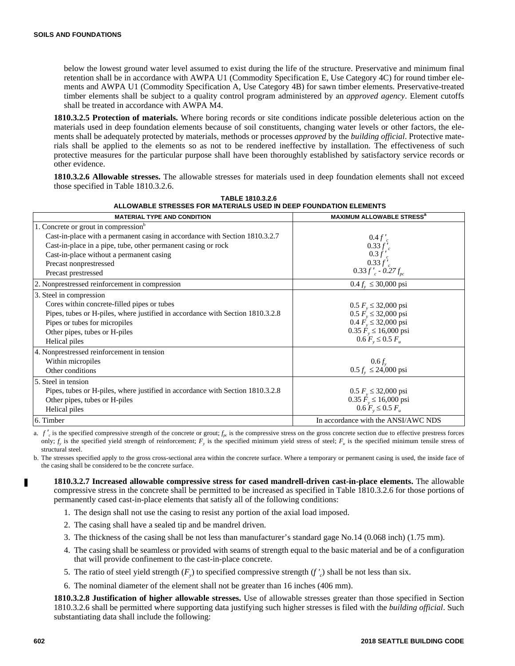below the lowest ground water level assumed to exist during the life of the structure. Preservative and minimum final retention shall be in accordance with AWPA U1 (Commodity Specification E, Use Category 4C) for round timber elements and AWPA U1 (Commodity Specification A, Use Category 4B) for sawn timber elements. Preservative-treated timber elements shall be subject to a quality control program administered by an *approved agency*. Element cutoffs shall be treated in accordance with AWPA M4.

**1810.3.2.5 Protection of materials.** Where boring records or site conditions indicate possible deleterious action on the materials used in deep foundation elements because of soil constituents, changing water levels or other factors, the elements shall be adequately protected by materials, methods or processes *approved* by the *building official*. Protective materials shall be applied to the elements so as not to be rendered ineffective by installation. The effectiveness of such protective measures for the particular purpose shall have been thoroughly established by satisfactory service records or other evidence.

**1810.3.2.6 Allowable stresses.** The allowable stresses for materials used in deep foundation elements shall not exceed those specified in Table 1810.3.2.6.

| ALLOWABLE STRESSES FOR MATERIALS USED IN DEEP FOUNDATION ELEMENTS                                                                                                                                                                                                      |                                                                                                                                                                         |  |  |
|------------------------------------------------------------------------------------------------------------------------------------------------------------------------------------------------------------------------------------------------------------------------|-------------------------------------------------------------------------------------------------------------------------------------------------------------------------|--|--|
| <b>MATERIAL TYPE AND CONDITION</b>                                                                                                                                                                                                                                     | MAXIMUM ALLOWABLE STRESS <sup>a</sup>                                                                                                                                   |  |  |
| 1. Concrete or grout in compression <sup>b</sup><br>Cast-in-place with a permanent casing in accordance with Section 1810.3.2.7<br>Cast-in-place in a pipe, tube, other permanent casing or rock<br>Cast-in-place without a permanent casing<br>Precast nonprestressed | 0.4 f'<br>0.33 f'<br>0.3 f'<br>$0.33 f'_{c}$<br>$0.33 f'_{c}$ - $0.27 f_{\text{pc}}$                                                                                    |  |  |
| Precast prestressed<br>2. Nonprestressed reinforcement in compression                                                                                                                                                                                                  | $0.4 f_v \leq 30,000 \text{ psi}$                                                                                                                                       |  |  |
| 3. Steel in compression<br>Cores within concrete-filled pipes or tubes<br>Pipes, tubes or H-piles, where justified in accordance with Section 1810.3.2.8<br>Pipes or tubes for micropiles<br>Other pipes, tubes or H-piles<br>Helical piles                            | $0.5 F_y \le 32,000 \text{ psi}$<br>$0.5 F_v \leq 32,000$ psi<br>$0.4 F_v \leq 32,000 \text{ psi}$<br>$0.35 \dot{F}_v \le 16,000 \text{ psi}$<br>$0.6 F_v \leq 0.5 F_u$ |  |  |
| 4. Nonprestressed reinforcement in tension<br>Within micropiles<br>Other conditions                                                                                                                                                                                    | $0.6 f_y$<br>$0.5 f_y \le 24,000$ psi                                                                                                                                   |  |  |
| 5. Steel in tension<br>Pipes, tubes or H-piles, where justified in accordance with Section 1810.3.2.8<br>Other pipes, tubes or H-piles<br>Helical piles                                                                                                                | $0.5 F_v \leq 32,000 \text{ psi}$<br>$0.35 \dot{F}_y \le 16,000 \text{ psi}$<br>$0.6 F_v \leq 0.5 F_u$                                                                  |  |  |
| 6. Timber                                                                                                                                                                                                                                                              | In accordance with the ANSI/AWC NDS                                                                                                                                     |  |  |

**TABLE 1810.3.2.6 ALLOWABLE STRESSES FOR MATERIALS USED IN DEEP FOUNDATION ELEMENTS**

a.  $f'_{c}$  is the specified compressive strength of the concrete or grout;  $f_{pc}$  is the compressive stress on the gross concrete section due to effective prestress forces only;  $f_y$  is the specified yield strength of reinforcement;  $F_y$  is the specified minimum yield stress of steel;  $F_u$  is the specified minimum tensile stress of structural steel.

b. The stresses specified apply to the gross cross-sectional area within the concrete surface. Where a temporary or permanent casing is used, the inside face of the casing shall be considered to be the concrete surface.

**1810.3.2.7 Increased allowable compressive stress for cased mandrell-driven cast-in-place elements.** The allowable compressive stress in the concrete shall be permitted to be increased as specified in Table 1810.3.2.6 for those portions of permanently cased cast-in-place elements that satisfy all of the following conditions:

- 1. The design shall not use the casing to resist any portion of the axial load imposed.
- 2. The casing shall have a sealed tip and be mandrel driven.
- 3. The thickness of the casing shall be not less than manufacturer's standard gage No.14 (0.068 inch) (1.75 mm).
- 4. The casing shall be seamless or provided with seams of strength equal to the basic material and be of a configuration that will provide confinement to the cast-in-place concrete.
- 5. The ratio of steel yield strength  $(F_y)$  to specified compressive strength  $(f'_c)$  shall be not less than six.
- 6. The nominal diameter of the element shall not be greater than 16 inches (406 mm).

**1810.3.2.8 Justification of higher allowable stresses.** Use of allowable stresses greater than those specified in Section 1810.3.2.6 shall be permitted where supporting data justifying such higher stresses is filed with the *building official*. Such substantiating data shall include the following:

п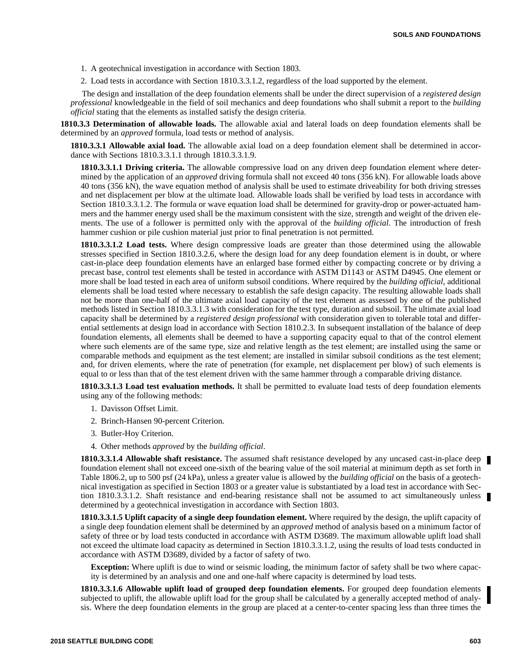1. A geotechnical investigation in accordance with Section 1803.

2. Load tests in accordance with Section 1810.3.3.1.2, regardless of the load supported by the element.

The design and installation of the deep foundation elements shall be under the direct supervision of a *registered design professional* knowledgeable in the field of soil mechanics and deep foundations who shall submit a report to the *building official* stating that the elements as installed satisfy the design criteria.

**1810.3.3 Determination of allowable loads.** The allowable axial and lateral loads on deep foundation elements shall be determined by an *approved* formula, load tests or method of analysis.

**1810.3.3.1 Allowable axial load.** The allowable axial load on a deep foundation element shall be determined in accordance with Sections 1810.3.3.1.1 through 1810.3.3.1.9.

**1810.3.3.1.1 Driving criteria.** The allowable compressive load on any driven deep foundation element where determined by the application of an *approved* driving formula shall not exceed 40 tons (356 kN). For allowable loads above 40 tons (356 kN), the wave equation method of analysis shall be used to estimate driveability for both driving stresses and net displacement per blow at the ultimate load. Allowable loads shall be verified by load tests in accordance with Section 1810.3.3.1.2. The formula or wave equation load shall be determined for gravity-drop or power-actuated hammers and the hammer energy used shall be the maximum consistent with the size, strength and weight of the driven elements. The use of a follower is permitted only with the approval of the *building official*. The introduction of fresh hammer cushion or pile cushion material just prior to final penetration is not permitted.

**1810.3.3.1.2 Load tests.** Where design compressive loads are greater than those determined using the allowable stresses specified in Section 1810.3.2.6, where the design load for any deep foundation element is in doubt, or where cast-in-place deep foundation elements have an enlarged base formed either by compacting concrete or by driving a precast base, control test elements shall be tested in accordance with ASTM D1143 or ASTM D4945. One element or more shall be load tested in each area of uniform subsoil conditions. Where required by the *building official*, additional elements shall be load tested where necessary to establish the safe design capacity. The resulting allowable loads shall not be more than one-half of the ultimate axial load capacity of the test element as assessed by one of the published methods listed in Section 1810.3.3.1.3 with consideration for the test type, duration and subsoil. The ultimate axial load capacity shall be determined by a *registered design professional* with consideration given to tolerable total and differential settlements at design load in accordance with Section 1810.2.3. In subsequent installation of the balance of deep foundation elements, all elements shall be deemed to have a supporting capacity equal to that of the control element where such elements are of the same type, size and relative length as the test element; are installed using the same or comparable methods and equipment as the test element; are installed in similar subsoil conditions as the test element; and, for driven elements, where the rate of penetration (for example, net displacement per blow) of such elements is equal to or less than that of the test element driven with the same hammer through a comparable driving distance.

**1810.3.3.1.3 Load test evaluation methods.** It shall be permitted to evaluate load tests of deep foundation elements using any of the following methods:

- 1. Davisson Offset Limit.
- 2. Brinch-Hansen 90-percent Criterion.
- 3. Butler-Hoy Criterion.
- 4. Other methods *approved* by the *building official*.

**1810.3.3.1.4 Allowable shaft resistance.** The assumed shaft resistance developed by any uncased cast-in-place deep foundation element shall not exceed one-sixth of the bearing value of the soil material at minimum depth as set forth in Table 1806.2, up to 500 psf (24 kPa), unless a greater value is allowed by the *building official* on the basis of a geotechnical investigation as specified in Section 1803 or a greater value is substantiated by a load test in accordance with Section 1810.3.3.1.2. Shaft resistance and end-bearing resistance shall not be assumed to act simultaneously unless determined by a geotechnical investigation in accordance with Section 1803.

**1810.3.3.1.5 Uplift capacity of a single deep foundation element.** Where required by the design, the uplift capacity of a single deep foundation element shall be determined by an *approved* method of analysis based on a minimum factor of safety of three or by load tests conducted in accordance with ASTM D3689. The maximum allowable uplift load shall not exceed the ultimate load capacity as determined in Section 1810.3.3.1.2, using the results of load tests conducted in accordance with ASTM D3689, divided by a factor of safety of two.

**Exception:** Where uplift is due to wind or seismic loading, the minimum factor of safety shall be two where capacity is determined by an analysis and one and one-half where capacity is determined by load tests.

**1810.3.3.1.6 Allowable uplift load of grouped deep foundation elements.** For grouped deep foundation elements subjected to uplift, the allowable uplift load for the group shall be calculated by a generally accepted method of analysis. Where the deep foundation elements in the group are placed at a center-to-center spacing less than three times the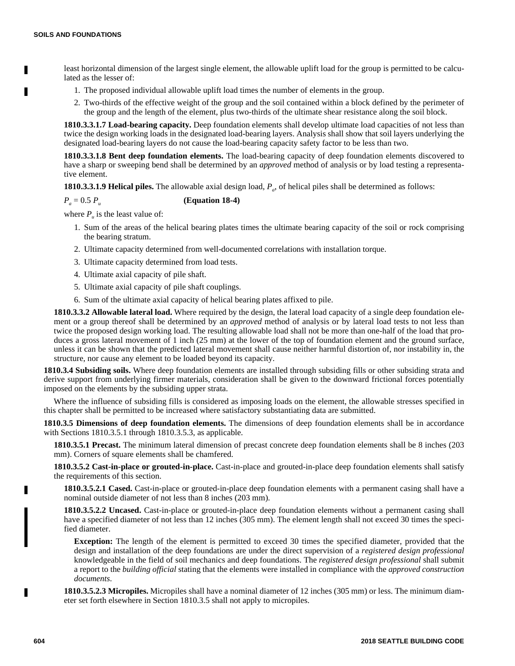least horizontal dimension of the largest single element, the allowable uplift load for the group is permitted to be calculated as the lesser of:

- 1. The proposed individual allowable uplift load times the number of elements in the group.
- 2. Two-thirds of the effective weight of the group and the soil contained within a block defined by the perimeter of the group and the length of the element, plus two-thirds of the ultimate shear resistance along the soil block.

**1810.3.3.1.7 Load-bearing capacity.** Deep foundation elements shall develop ultimate load capacities of not less than twice the design working loads in the designated load-bearing layers. Analysis shall show that soil layers underlying the designated load-bearing layers do not cause the load-bearing capacity safety factor to be less than two.

**1810.3.3.1.8 Bent deep foundation elements.** The load-bearing capacity of deep foundation elements discovered to have a sharp or sweeping bend shall be determined by an *approved* method of analysis or by load testing a representative element.

**1810.3.3.1.9 Helical piles.** The allowable axial design load,  $P_a$ , of helical piles shall be determined as follows:

 $P_a = 0.5 P_u$ **(Equation 18-4)**

where  $P_u$  is the least value of:

- 1. Sum of the areas of the helical bearing plates times the ultimate bearing capacity of the soil or rock comprising the bearing stratum.
- 2. Ultimate capacity determined from well-documented correlations with installation torque.
- 3. Ultimate capacity determined from load tests.
- 4. Ultimate axial capacity of pile shaft.
- 5. Ultimate axial capacity of pile shaft couplings.
- 6. Sum of the ultimate axial capacity of helical bearing plates affixed to pile.

**1810.3.3.2 Allowable lateral load.** Where required by the design, the lateral load capacity of a single deep foundation element or a group thereof shall be determined by an *approved* method of analysis or by lateral load tests to not less than twice the proposed design working load. The resulting allowable load shall not be more than one-half of the load that produces a gross lateral movement of 1 inch (25 mm) at the lower of the top of foundation element and the ground surface, unless it can be shown that the predicted lateral movement shall cause neither harmful distortion of, nor instability in, the structure, nor cause any element to be loaded beyond its capacity.

**1810.3.4 Subsiding soils.** Where deep foundation elements are installed through subsiding fills or other subsiding strata and derive support from underlying firmer materials, consideration shall be given to the downward frictional forces potentially imposed on the elements by the subsiding upper strata.

Where the influence of subsiding fills is considered as imposing loads on the element, the allowable stresses specified in this chapter shall be permitted to be increased where satisfactory substantiating data are submitted.

**1810.3.5 Dimensions of deep foundation elements.** The dimensions of deep foundation elements shall be in accordance with Sections 1810.3.5.1 through 1810.3.5.3, as applicable.

**1810.3.5.1 Precast.** The minimum lateral dimension of precast concrete deep foundation elements shall be 8 inches (203 mm). Corners of square elements shall be chamfered.

**1810.3.5.2 Cast-in-place or grouted-in-place.** Cast-in-place and grouted-in-place deep foundation elements shall satisfy the requirements of this section.

**1810.3.5.2.1 Cased.** Cast-in-place or grouted-in-place deep foundation elements with a permanent casing shall have a nominal outside diameter of not less than 8 inches (203 mm).

**1810.3.5.2.2 Uncased.** Cast-in-place or grouted-in-place deep foundation elements without a permanent casing shall have a specified diameter of not less than 12 inches (305 mm). The element length shall not exceed 30 times the specified diameter.

**Exception:** The length of the element is permitted to exceed 30 times the specified diameter, provided that the design and installation of the deep foundations are under the direct supervision of a *registered design professional* knowledgeable in the field of soil mechanics and deep foundations. The *registered design professional* shall submit a report to the *building official* stating that the elements were installed in compliance with the *approved construction documents*.

**1810.3.5.2.3 Micropiles.** Micropiles shall have a nominal diameter of 12 inches (305 mm) or less. The minimum diameter set forth elsewhere in Section 1810.3.5 shall not apply to micropiles.

П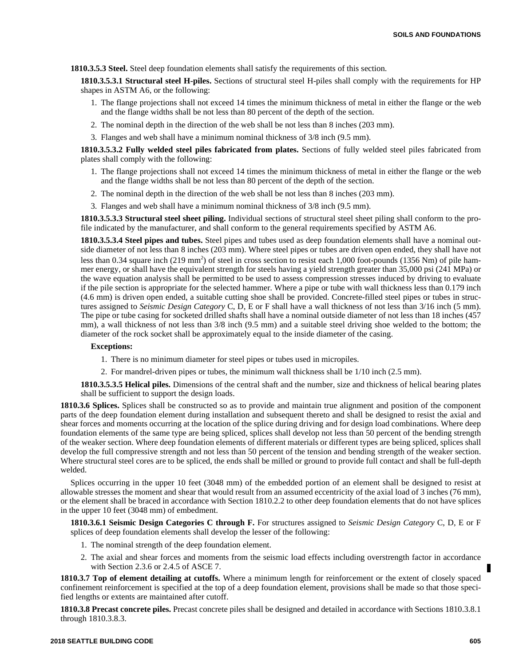**1810.3.5.3 Steel.** Steel deep foundation elements shall satisfy the requirements of this section.

**1810.3.5.3.1 Structural steel H-piles.** Sections of structural steel H-piles shall comply with the requirements for HP shapes in ASTM A6, or the following:

- 1. The flange projections shall not exceed 14 times the minimum thickness of metal in either the flange or the web and the flange widths shall be not less than 80 percent of the depth of the section.
- 2. The nominal depth in the direction of the web shall be not less than 8 inches (203 mm).
- 3. Flanges and web shall have a minimum nominal thickness of 3/8 inch (9.5 mm).

**1810.3.5.3.2 Fully welded steel piles fabricated from plates.** Sections of fully welded steel piles fabricated from plates shall comply with the following:

- 1. The flange projections shall not exceed 14 times the minimum thickness of metal in either the flange or the web and the flange widths shall be not less than 80 percent of the depth of the section.
- 2. The nominal depth in the direction of the web shall be not less than 8 inches (203 mm).
- 3. Flanges and web shall have a minimum nominal thickness of 3/8 inch (9.5 mm).

**1810.3.5.3.3 Structural steel sheet piling.** Individual sections of structural steel sheet piling shall conform to the profile indicated by the manufacturer, and shall conform to the general requirements specified by ASTM A6.

**1810.3.5.3.4 Steel pipes and tubes.** Steel pipes and tubes used as deep foundation elements shall have a nominal outside diameter of not less than 8 inches (203 mm). Where steel pipes or tubes are driven open ended, they shall have not less than 0.34 square inch  $(219 \text{ mm}^2)$  of steel in cross section to resist each 1,000 foot-pounds (1356 Nm) of pile hammer energy, or shall have the equivalent strength for steels having a yield strength greater than 35,000 psi (241 MPa) or the wave equation analysis shall be permitted to be used to assess compression stresses induced by driving to evaluate if the pile section is appropriate for the selected hammer. Where a pipe or tube with wall thickness less than 0.179 inch (4.6 mm) is driven open ended, a suitable cutting shoe shall be provided. Concrete-filled steel pipes or tubes in structures assigned to *Seismic Design Category* C, D, E or F shall have a wall thickness of not less than 3/16 inch (5 mm). The pipe or tube casing for socketed drilled shafts shall have a nominal outside diameter of not less than 18 inches (457 mm), a wall thickness of not less than  $3/8$  inch (9.5 mm) and a suitable steel driving shoe welded to the bottom; the diameter of the rock socket shall be approximately equal to the inside diameter of the casing.

### **Exceptions:**

- 1. There is no minimum diameter for steel pipes or tubes used in micropiles.
- 2. For mandrel-driven pipes or tubes, the minimum wall thickness shall be 1/10 inch (2.5 mm).

**1810.3.5.3.5 Helical piles.** Dimensions of the central shaft and the number, size and thickness of helical bearing plates shall be sufficient to support the design loads.

**1810.3.6 Splices.** Splices shall be constructed so as to provide and maintain true alignment and position of the component parts of the deep foundation element during installation and subsequent thereto and shall be designed to resist the axial and shear forces and moments occurring at the location of the splice during driving and for design load combinations. Where deep foundation elements of the same type are being spliced, splices shall develop not less than 50 percent of the bending strength of the weaker section. Where deep foundation elements of different materials or different types are being spliced, splices shall develop the full compressive strength and not less than 50 percent of the tension and bending strength of the weaker section. Where structural steel cores are to be spliced, the ends shall be milled or ground to provide full contact and shall be full-depth welded.

Splices occurring in the upper 10 feet (3048 mm) of the embedded portion of an element shall be designed to resist at allowable stresses the moment and shear that would result from an assumed eccentricity of the axial load of 3 inches (76 mm), or the element shall be braced in accordance with Section 1810.2.2 to other deep foundation elements that do not have splices in the upper 10 feet (3048 mm) of embedment.

**1810.3.6.1 Seismic Design Categories C through F.** For structures assigned to *Seismic Design Category* C, D, E or F splices of deep foundation elements shall develop the lesser of the following:

- 1. The nominal strength of the deep foundation element.
- 2. The axial and shear forces and moments from the seismic load effects including overstrength factor in accordance with Section 2.3.6 or 2.4.5 of ASCE 7.

**1810.3.7 Top of element detailing at cutoffs.** Where a minimum length for reinforcement or the extent of closely spaced confinement reinforcement is specified at the top of a deep foundation element, provisions shall be made so that those specified lengths or extents are maintained after cutoff.

**1810.3.8 Precast concrete piles.** Precast concrete piles shall be designed and detailed in accordance with Sections 1810.3.8.1 through 1810.3.8.3.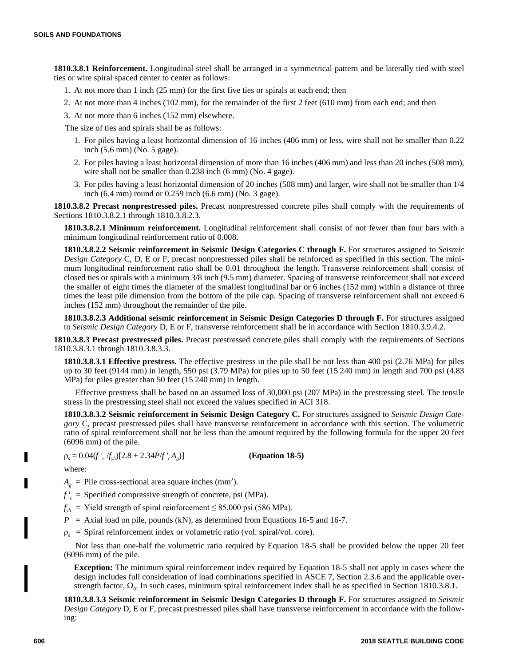**1810.3.8.1 Reinforcement.** Longitudinal steel shall be arranged in a symmetrical pattern and be laterally tied with steel ties or wire spiral spaced center to center as follows:

- 1. At not more than 1 inch (25 mm) for the first five ties or spirals at each end; then
- 2. At not more than 4 inches (102 mm), for the remainder of the first 2 feet (610 mm) from each end; and then
- 3. At not more than 6 inches (152 mm) elsewhere.

The size of ties and spirals shall be as follows:

- 1. For piles having a least horizontal dimension of 16 inches (406 mm) or less, wire shall not be smaller than 0.22 inch (5.6 mm) (No. 5 gage).
- 2. For piles having a least horizontal dimension of more than 16 inches (406 mm) and less than 20 inches (508 mm), wire shall not be smaller than 0.238 inch (6 mm) (No. 4 gage).
- 3. For piles having a least horizontal dimension of 20 inches (508 mm) and larger, wire shall not be smaller than 1/4 inch (6.4 mm) round or 0.259 inch (6.6 mm) (No. 3 gage).

**1810.3.8.2 Precast nonprestressed piles.** Precast nonprestressed concrete piles shall comply with the requirements of Sections 1810.3.8.2.1 through 1810.3.8.2.3.

**1810.3.8.2.1 Minimum reinforcement.** Longitudinal reinforcement shall consist of not fewer than four bars with a minimum longitudinal reinforcement ratio of 0.008.

**1810.3.8.2.2 Seismic reinforcement in Seismic Design Categories C through F.** For structures assigned to *Seismic Design Category* C, D, E or F, precast nonprestressed piles shall be reinforced as specified in this section. The minimum longitudinal reinforcement ratio shall be 0.01 throughout the length. Transverse reinforcement shall consist of closed ties or spirals with a minimum 3/8 inch (9.5 mm) diameter. Spacing of transverse reinforcement shall not exceed the smaller of eight times the diameter of the smallest longitudinal bar or 6 inches (152 mm) within a distance of three times the least pile dimension from the bottom of the pile cap. Spacing of transverse reinforcement shall not exceed 6 inches (152 mm) throughout the remainder of the pile.

**1810.3.8.2.3 Additional seismic reinforcement in Seismic Design Categories D through F.** For structures assigned to *Seismic Design Category* D, E or F, transverse reinforcement shall be in accordance with Section 1810.3.9.4.2.

**1810.3.8.3 Precast prestressed piles.** Precast prestressed concrete piles shall comply with the requirements of Sections 1810.3.8.3.1 through 1810.3.8.3.3.

**1810.3.8.3.1 Effective prestress.** The effective prestress in the pile shall be not less than 400 psi (2.76 MPa) for piles up to 30 feet (9144 mm) in length, 550 psi (3.79 MPa) for piles up to 50 feet (15 240 mm) in length and 700 psi (4.83 MPa) for piles greater than 50 feet (15 240 mm) in length.

Effective prestress shall be based on an assumed loss of 30,000 psi (207 MPa) in the prestressing steel. The tensile stress in the prestressing steel shall not exceed the values specified in ACI 318.

**1810.3.8.3.2 Seismic reinforcement in Seismic Design Category C.** For structures assigned to *Seismic Design Category* C, precast prestressed piles shall have transverse reinforcement in accordance with this section. The volumetric ratio of spiral reinforcement shall not be less than the amount required by the following formula for the upper 20 feet (6096 mm) of the pile.

 $\rho_s = 0.04(f'_{c}/f_{\nu h})[2.8 + 2.34P/f'_{c}A_g]$ )] **(Equation 18-5)**

where:

 $A_g$  = Pile cross-sectional area square inches (mm<sup>2</sup>).

 $f'_{c}$  = Specified compressive strength of concrete, psi (MPa).

 $f_{yh}$  = Yield strength of spiral reinforcement  $\leq$  85,000 psi (586 MPa).

- *P* = Axial load on pile, pounds (kN), as determined from Equations 16-5 and 16-7.
- $\rho_s$  = Spiral reinforcement index or volumetric ratio (vol. spiral/vol. core).

Not less than one-half the volumetric ratio required by Equation 18-5 shall be provided below the upper 20 feet (6096 mm) of the pile.

**Exception:** The minimum spiral reinforcement index required by Equation 18-5 shall not apply in cases where the design includes full consideration of load combinations specified in ASCE 7, Section 2.3.6 and the applicable overstrength factor,  $\Omega_0$ . In such cases, minimum spiral reinforcement index shall be as specified in Section 1810.3.8.1.

**1810.3.8.3.3 Seismic reinforcement in Seismic Design Categories D through F.** For structures assigned to *Seismic Design Category* D, E or F, precast prestressed piles shall have transverse reinforcement in accordance with the following: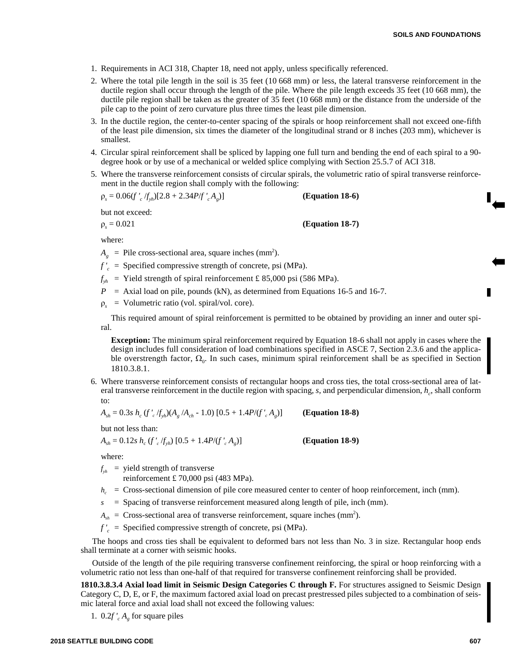- 1. Requirements in ACI 318, Chapter 18, need not apply, unless specifically referenced.
- 2. Where the total pile length in the soil is 35 feet (10 668 mm) or less, the lateral transverse reinforcement in the ductile region shall occur through the length of the pile. Where the pile length exceeds 35 feet (10 668 mm), the ductile pile region shall be taken as the greater of 35 feet (10 668 mm) or the distance from the underside of the pile cap to the point of zero curvature plus three times the least pile dimension.
- 3. In the ductile region, the center-to-center spacing of the spirals or hoop reinforcement shall not exceed one-fifth of the least pile dimension, six times the diameter of the longitudinal strand or 8 inches (203 mm), whichever is smallest.
- 4. Circular spiral reinforcement shall be spliced by lapping one full turn and bending the end of each spiral to a 90 degree hook or by use of a mechanical or welded splice complying with Section 25.5.7 of ACI 318.
- 5. Where the transverse reinforcement consists of circular spirals, the volumetric ratio of spiral transverse reinforcement in the ductile region shall comply with the following:

$$
\rho_s = 0.06(f'_c/f_{yh})[2.8 + 2.34P/f'_cA_g)]
$$
\n(Equation 18-6)

but not exceed:

 $\rho$ <sub>s</sub> = 0.021

where:

 $A_g$  = Pile cross-sectional area, square inches (mm<sup>2</sup>).

*f '<sup>c</sup>* = Specified compressive strength of concrete, psi (MPa).

- $f_{yh}$  = Yield strength of spiral reinforcement £ 85,000 psi (586 MPa).
- *P* = Axial load on pile, pounds (kN), as determined from Equations 16-5 and 16-7.
- ρ*<sup>s</sup>* = Volumetric ratio (vol. spiral/vol. core).

This required amount of spiral reinforcement is permitted to be obtained by providing an inner and outer spiral.

**Exception:** The minimum spiral reinforcement required by Equation 18-6 shall not apply in cases where the design includes full consideration of load combinations specified in ASCE 7, Section 2.3.6 and the applicable overstrength factor,  $\Omega_0$ . In such cases, minimum spiral reinforcement shall be as specified in Section 1810.3.8.1.

6. Where transverse reinforcement consists of rectangular hoops and cross ties, the total cross-sectional area of lateral transverse reinforcement in the ductile region with spacing, *s*, and perpendicular dimension, *h<sup>c</sup>* , shall conform to:

 $A_{sh} = 0.3s$   $h_c$  (*f '<sub>c</sub>* /*f<sub>yh</sub>*)( $A_g$  / $A_{ch}$  - 1.0) [0.5 + 1.4*P*/(*f'<sub>c</sub>*  $A_g$ ) )] **(Equation 18-8)**

but not less than:

 $A_{sh} = 0.12s$   $h_c$  (*f '<sub>c</sub>* /*f<sub>yh</sub>*) [0.5 + 1.4*P*/(*f '<sub>c</sub>*  $A_g$ )

)] **(Equation 18-9)**

= 0.021 **(Equation 18-7)**

where:

 $f_{yh}$  = yield strength of transverse

reinforcement £ 70,000 psi (483 MPa).

- *h<sub>c</sub>* = Cross-sectional dimension of pile core measured center to center of hoop reinforcement, inch (mm).
- *s* = Spacing of transverse reinforcement measured along length of pile, inch (mm).
- $A_{sh}$  = Cross-sectional area of transverse reinforcement, square inches (mm<sup>2</sup>).
- $f'_{c}$  = Specified compressive strength of concrete, psi (MPa).

The hoops and cross ties shall be equivalent to deformed bars not less than No. 3 in size. Rectangular hoop ends shall terminate at a corner with seismic hooks.

Outside of the length of the pile requiring transverse confinement reinforcing, the spiral or hoop reinforcing with a volumetric ratio not less than one-half of that required for transverse confinement reinforcing shall be provided.

**1810.3.8.3.4 Axial load limit in Seismic Design Categories C through F.** For structures assigned to Seismic Design Category C, D, E, or F, the maximum factored axial load on precast prestressed piles subjected to a combination of seismic lateral force and axial load shall not exceed the following values:

1.  $0.2f'_{c}A_{g}$  for square piles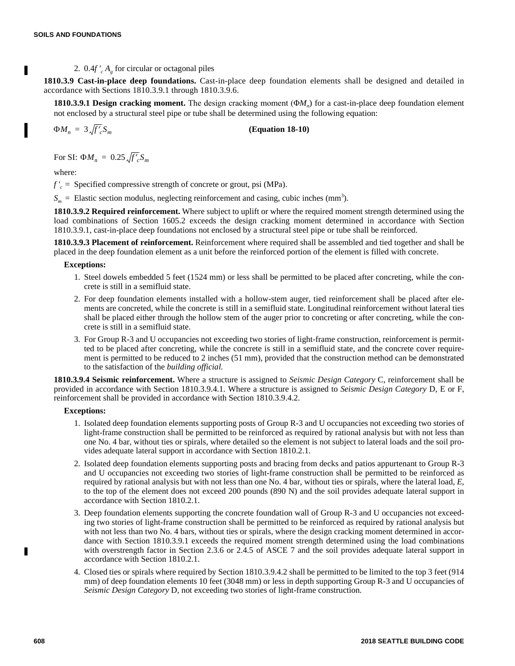# 2.  $0.4f'_{c}A_{g}$  for circular or octagonal piles

**1810.3.9 Cast-in-place deep foundations.** Cast-in-place deep foundation elements shall be designed and detailed in accordance with Sections 1810.3.9.1 through 1810.3.9.6.

**1810.3.9.1 Design cracking moment.** The design cracking moment (Φ*M<sup>n</sup>* ) for a cast-in-place deep foundation element not enclosed by a structural steel pipe or tube shall be determined using the following equation:

 $\Phi M_n = 3 \sqrt{f'_c} S_m$ 

**(Equation 18-10)**

For SI:  $\Phi M_n = 0.25 \sqrt{f'_c} S_m$ 

where:

Г

*f '<sup>c</sup>* = Specified compressive strength of concrete or grout, psi (MPa).

 $S_m$  = Elastic section modulus, neglecting reinforcement and casing, cubic inches (mm<sup>3</sup>).

**1810.3.9.2 Required reinforcement.** Where subject to uplift or where the required moment strength determined using the load combinations of Section 1605.2 exceeds the design cracking moment determined in accordance with Section 1810.3.9.1, cast-in-place deep foundations not enclosed by a structural steel pipe or tube shall be reinforced.

**1810.3.9.3 Placement of reinforcement.** Reinforcement where required shall be assembled and tied together and shall be placed in the deep foundation element as a unit before the reinforced portion of the element is filled with concrete.

## **Exceptions:**

- 1. Steel dowels embedded 5 feet (1524 mm) or less shall be permitted to be placed after concreting, while the concrete is still in a semifluid state.
- 2. For deep foundation elements installed with a hollow-stem auger, tied reinforcement shall be placed after elements are concreted, while the concrete is still in a semifluid state. Longitudinal reinforcement without lateral ties shall be placed either through the hollow stem of the auger prior to concreting or after concreting, while the concrete is still in a semifluid state.
- 3. For Group R-3 and U occupancies not exceeding two stories of light-frame construction, reinforcement is permitted to be placed after concreting, while the concrete is still in a semifluid state, and the concrete cover requirement is permitted to be reduced to 2 inches (51 mm), provided that the construction method can be demonstrated to the satisfaction of the *building official*.

**1810.3.9.4 Seismic reinforcement.** Where a structure is assigned to *Seismic Design Category* C, reinforcement shall be provided in accordance with Section 1810.3.9.4.1. Where a structure is assigned to *Seismic Design Category* D, E or F, reinforcement shall be provided in accordance with Section 1810.3.9.4.2.

## **Exceptions:**

- 1. Isolated deep foundation elements supporting posts of Group R-3 and U occupancies not exceeding two stories of light-frame construction shall be permitted to be reinforced as required by rational analysis but with not less than one No. 4 bar, without ties or spirals, where detailed so the element is not subject to lateral loads and the soil provides adequate lateral support in accordance with Section 1810.2.1.
- 2. Isolated deep foundation elements supporting posts and bracing from decks and patios appurtenant to Group R-3 and U occupancies not exceeding two stories of light-frame construction shall be permitted to be reinforced as required by rational analysis but with not less than one No. 4 bar, without ties or spirals, where the lateral load, *E*, to the top of the element does not exceed 200 pounds (890 N) and the soil provides adequate lateral support in accordance with Section 1810.2.1.
- 3. Deep foundation elements supporting the concrete foundation wall of Group R-3 and U occupancies not exceeding two stories of light-frame construction shall be permitted to be reinforced as required by rational analysis but with not less than two No. 4 bars, without ties or spirals, where the design cracking moment determined in accordance with Section 1810.3.9.1 exceeds the required moment strength determined using the load combinations with overstrength factor in Section 2.3.6 or 2.4.5 of ASCE 7 and the soil provides adequate lateral support in accordance with Section 1810.2.1.
- 4. Closed ties or spirals where required by Section 1810.3.9.4.2 shall be permitted to be limited to the top 3 feet (914 mm) of deep foundation elements 10 feet (3048 mm) or less in depth supporting Group R-3 and U occupancies of *Seismic Design Category* D, not exceeding two stories of light-frame construction.

Г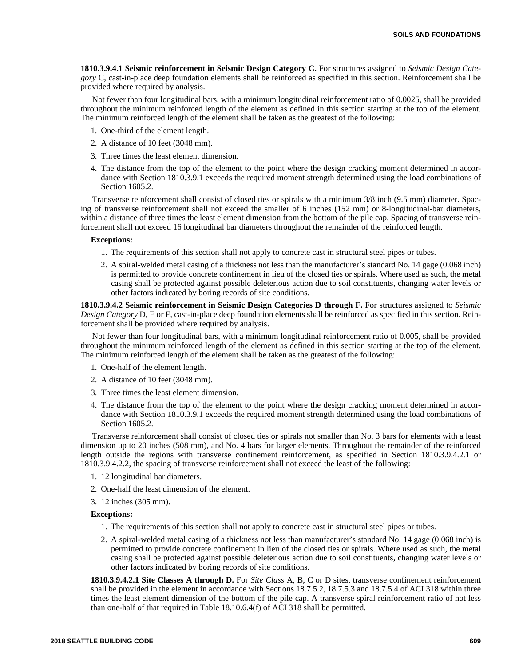**1810.3.9.4.1 Seismic reinforcement in Seismic Design Category C.** For structures assigned to *Seismic Design Category* C, cast-in-place deep foundation elements shall be reinforced as specified in this section. Reinforcement shall be provided where required by analysis.

Not fewer than four longitudinal bars, with a minimum longitudinal reinforcement ratio of 0.0025, shall be provided throughout the minimum reinforced length of the element as defined in this section starting at the top of the element. The minimum reinforced length of the element shall be taken as the greatest of the following:

- 1. One-third of the element length.
- 2. A distance of 10 feet (3048 mm).
- 3. Three times the least element dimension.
- 4. The distance from the top of the element to the point where the design cracking moment determined in accordance with Section 1810.3.9.1 exceeds the required moment strength determined using the load combinations of Section 1605.2.

Transverse reinforcement shall consist of closed ties or spirals with a minimum 3/8 inch (9.5 mm) diameter. Spacing of transverse reinforcement shall not exceed the smaller of 6 inches (152 mm) or 8-longitudinal-bar diameters, within a distance of three times the least element dimension from the bottom of the pile cap. Spacing of transverse reinforcement shall not exceed 16 longitudinal bar diameters throughout the remainder of the reinforced length.

#### **Exceptions:**

- 1. The requirements of this section shall not apply to concrete cast in structural steel pipes or tubes.
- 2. A spiral-welded metal casing of a thickness not less than the manufacturer's standard No. 14 gage (0.068 inch) is permitted to provide concrete confinement in lieu of the closed ties or spirals. Where used as such, the metal casing shall be protected against possible deleterious action due to soil constituents, changing water levels or other factors indicated by boring records of site conditions.

**1810.3.9.4.2 Seismic reinforcement in Seismic Design Categories D through F.** For structures assigned to *Seismic Design Category* D, E or F, cast-in-place deep foundation elements shall be reinforced as specified in this section. Reinforcement shall be provided where required by analysis.

Not fewer than four longitudinal bars, with a minimum longitudinal reinforcement ratio of 0.005, shall be provided throughout the minimum reinforced length of the element as defined in this section starting at the top of the element. The minimum reinforced length of the element shall be taken as the greatest of the following:

- 1. One-half of the element length.
- 2. A distance of 10 feet (3048 mm).
- 3. Three times the least element dimension.
- 4. The distance from the top of the element to the point where the design cracking moment determined in accordance with Section 1810.3.9.1 exceeds the required moment strength determined using the load combinations of Section 1605.2.

Transverse reinforcement shall consist of closed ties or spirals not smaller than No. 3 bars for elements with a least dimension up to 20 inches (508 mm), and No. 4 bars for larger elements. Throughout the remainder of the reinforced length outside the regions with transverse confinement reinforcement, as specified in Section 1810.3.9.4.2.1 or 1810.3.9.4.2.2, the spacing of transverse reinforcement shall not exceed the least of the following:

- 1. 12 longitudinal bar diameters.
- 2. One-half the least dimension of the element.
- 3. 12 inches (305 mm).

#### **Exceptions:**

- 1. The requirements of this section shall not apply to concrete cast in structural steel pipes or tubes.
- 2. A spiral-welded metal casing of a thickness not less than manufacturer's standard No. 14 gage (0.068 inch) is permitted to provide concrete confinement in lieu of the closed ties or spirals. Where used as such, the metal casing shall be protected against possible deleterious action due to soil constituents, changing water levels or other factors indicated by boring records of site conditions.

**1810.3.9.4.2.1 Site Classes A through D.** For *Site Class* A, B, C or D sites, transverse confinement reinforcement shall be provided in the element in accordance with Sections 18.7.5.2, 18.7.5.3 and 18.7.5.4 of ACI 318 within three times the least element dimension of the bottom of the pile cap. A transverse spiral reinforcement ratio of not less than one-half of that required in Table 18.10.6.4(f) of ACI 318 shall be permitted.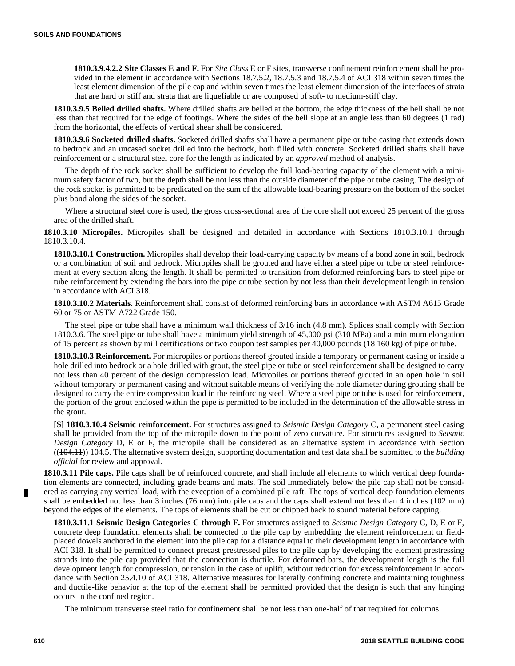**1810.3.9.4.2.2 Site Classes E and F.** For *Site Class* E or F sites, transverse confinement reinforcement shall be provided in the element in accordance with Sections 18.7.5.2, 18.7.5.3 and 18.7.5.4 of ACI 318 within seven times the least element dimension of the pile cap and within seven times the least element dimension of the interfaces of strata that are hard or stiff and strata that are liquefiable or are composed of soft- to medium-stiff clay.

**1810.3.9.5 Belled drilled shafts.** Where drilled shafts are belled at the bottom, the edge thickness of the bell shall be not less than that required for the edge of footings. Where the sides of the bell slope at an angle less than 60 degrees (1 rad) from the horizontal, the effects of vertical shear shall be considered.

**1810.3.9.6 Socketed drilled shafts.** Socketed drilled shafts shall have a permanent pipe or tube casing that extends down to bedrock and an uncased socket drilled into the bedrock, both filled with concrete. Socketed drilled shafts shall have reinforcement or a structural steel core for the length as indicated by an *approved* method of analysis.

The depth of the rock socket shall be sufficient to develop the full load-bearing capacity of the element with a minimum safety factor of two, but the depth shall be not less than the outside diameter of the pipe or tube casing. The design of the rock socket is permitted to be predicated on the sum of the allowable load-bearing pressure on the bottom of the socket plus bond along the sides of the socket.

Where a structural steel core is used, the gross cross-sectional area of the core shall not exceed 25 percent of the gross area of the drilled shaft.

**1810.3.10 Micropiles.** Micropiles shall be designed and detailed in accordance with Sections 1810.3.10.1 through 1810.3.10.4.

**1810.3.10.1 Construction.** Micropiles shall develop their load-carrying capacity by means of a bond zone in soil, bedrock or a combination of soil and bedrock. Micropiles shall be grouted and have either a steel pipe or tube or steel reinforcement at every section along the length. It shall be permitted to transition from deformed reinforcing bars to steel pipe or tube reinforcement by extending the bars into the pipe or tube section by not less than their development length in tension in accordance with ACI 318.

**1810.3.10.2 Materials.** Reinforcement shall consist of deformed reinforcing bars in accordance with ASTM A615 Grade 60 or 75 or ASTM A722 Grade 150.

The steel pipe or tube shall have a minimum wall thickness of 3/16 inch (4.8 mm). Splices shall comply with Section 1810.3.6. The steel pipe or tube shall have a minimum yield strength of 45,000 psi (310 MPa) and a minimum elongation of 15 percent as shown by mill certifications or two coupon test samples per 40,000 pounds (18 160 kg) of pipe or tube.

**1810.3.10.3 Reinforcement.** For micropiles or portions thereof grouted inside a temporary or permanent casing or inside a hole drilled into bedrock or a hole drilled with grout, the steel pipe or tube or steel reinforcement shall be designed to carry not less than 40 percent of the design compression load. Micropiles or portions thereof grouted in an open hole in soil without temporary or permanent casing and without suitable means of verifying the hole diameter during grouting shall be designed to carry the entire compression load in the reinforcing steel. Where a steel pipe or tube is used for reinforcement, the portion of the grout enclosed within the pipe is permitted to be included in the determination of the allowable stress in the grout.

**[S] 1810.3.10.4 Seismic reinforcement.** For structures assigned to *Seismic Design Category* C, a permanent steel casing shall be provided from the top of the micropile down to the point of zero curvature. For structures assigned to *Seismic Design Category* D, E or F, the micropile shall be considered as an alternative system in accordance with Section ((104.11)) 104.5. The alternative system design, supporting documentation and test data shall be submitted to the *building official* for review and approval.

**1810.3.11 Pile caps.** Pile caps shall be of reinforced concrete, and shall include all elements to which vertical deep foundation elements are connected, including grade beams and mats. The soil immediately below the pile cap shall not be considered as carrying any vertical load, with the exception of a combined pile raft. The tops of vertical deep foundation elements shall be embedded not less than 3 inches (76 mm) into pile caps and the caps shall extend not less than 4 inches (102 mm) beyond the edges of the elements. The tops of elements shall be cut or chipped back to sound material before capping.

**1810.3.11.1 Seismic Design Categories C through F.** For structures assigned to *Seismic Design Category* C, D, E or F, concrete deep foundation elements shall be connected to the pile cap by embedding the element reinforcement or fieldplaced dowels anchored in the element into the pile cap for a distance equal to their development length in accordance with ACI 318. It shall be permitted to connect precast prestressed piles to the pile cap by developing the element prestressing strands into the pile cap provided that the connection is ductile. For deformed bars, the development length is the full development length for compression, or tension in the case of uplift, without reduction for excess reinforcement in accordance with Section 25.4.10 of ACI 318. Alternative measures for laterally confining concrete and maintaining toughness and ductile-like behavior at the top of the element shall be permitted provided that the design is such that any hinging occurs in the confined region.

The minimum transverse steel ratio for confinement shall be not less than one-half of that required for columns.

П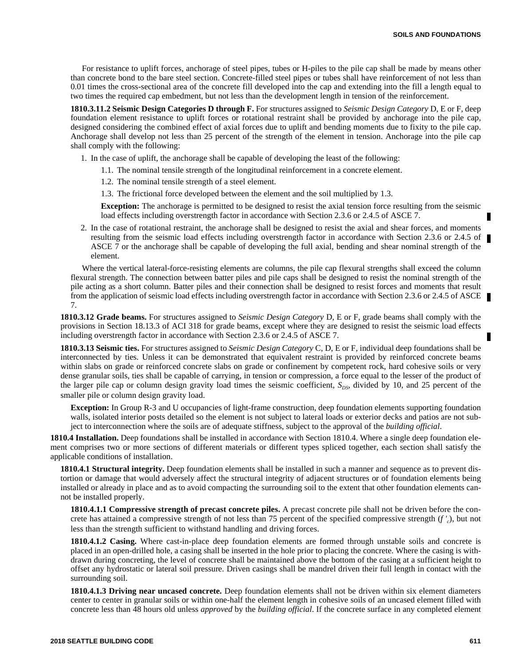For resistance to uplift forces, anchorage of steel pipes, tubes or H-piles to the pile cap shall be made by means other than concrete bond to the bare steel section. Concrete-filled steel pipes or tubes shall have reinforcement of not less than 0.01 times the cross-sectional area of the concrete fill developed into the cap and extending into the fill a length equal to two times the required cap embedment, but not less than the development length in tension of the reinforcement.

**1810.3.11.2 Seismic Design Categories D through F.** For structures assigned to *Seismic Design Category* D, E or F, deep foundation element resistance to uplift forces or rotational restraint shall be provided by anchorage into the pile cap, designed considering the combined effect of axial forces due to uplift and bending moments due to fixity to the pile cap. Anchorage shall develop not less than 25 percent of the strength of the element in tension. Anchorage into the pile cap shall comply with the following:

- 1. In the case of uplift, the anchorage shall be capable of developing the least of the following:
	- 1.1. The nominal tensile strength of the longitudinal reinforcement in a concrete element.
	- 1.2. The nominal tensile strength of a steel element.
	- 1.3. The frictional force developed between the element and the soil multiplied by 1.3.

**Exception:** The anchorage is permitted to be designed to resist the axial tension force resulting from the seismic load effects including overstrength factor in accordance with Section 2.3.6 or 2.4.5 of ASCE 7.

2. In the case of rotational restraint, the anchorage shall be designed to resist the axial and shear forces, and moments resulting from the seismic load effects including overstrength factor in accordance with Section 2.3.6 or 2.4.5 of ASCE 7 or the anchorage shall be capable of developing the full axial, bending and shear nominal strength of the element.

Where the vertical lateral-force-resisting elements are columns, the pile cap flexural strengths shall exceed the column flexural strength. The connection between batter piles and pile caps shall be designed to resist the nominal strength of the pile acting as a short column. Batter piles and their connection shall be designed to resist forces and moments that result from the application of seismic load effects including overstrength factor in accordance with Section 2.3.6 or 2.4.5 of ASCE 7.

**1810.3.12 Grade beams.** For structures assigned to *Seismic Design Category* D, E or F, grade beams shall comply with the provisions in Section 18.13.3 of ACI 318 for grade beams, except where they are designed to resist the seismic load effects including overstrength factor in accordance with Section 2.3.6 or 2.4.5 of ASCE 7.

**1810.3.13 Seismic ties.** For structures assigned to *Seismic Design Category* C, D, E or F, individual deep foundations shall be interconnected by ties. Unless it can be demonstrated that equivalent restraint is provided by reinforced concrete beams within slabs on grade or reinforced concrete slabs on grade or confinement by competent rock, hard cohesive soils or very dense granular soils, ties shall be capable of carrying, in tension or compression, a force equal to the lesser of the product of the larger pile cap or column design gravity load times the seismic coefficient,  $S_{DS}$ , divided by 10, and 25 percent of the smaller pile or column design gravity load.

**Exception:** In Group R-3 and U occupancies of light-frame construction, deep foundation elements supporting foundation walls, isolated interior posts detailed so the element is not subject to lateral loads or exterior decks and patios are not subject to interconnection where the soils are of adequate stiffness, subject to the approval of the *building official*.

**1810.4 Installation.** Deep foundations shall be installed in accordance with Section 1810.4. Where a single deep foundation element comprises two or more sections of different materials or different types spliced together, each section shall satisfy the applicable conditions of installation.

**1810.4.1 Structural integrity.** Deep foundation elements shall be installed in such a manner and sequence as to prevent distortion or damage that would adversely affect the structural integrity of adjacent structures or of foundation elements being installed or already in place and as to avoid compacting the surrounding soil to the extent that other foundation elements cannot be installed properly.

**1810.4.1.1 Compressive strength of precast concrete piles.** A precast concrete pile shall not be driven before the concrete has attained a compressive strength of not less than 75 percent of the specified compressive strength (*f '<sup>c</sup>* ), but not less than the strength sufficient to withstand handling and driving forces.

**1810.4.1.2 Casing.** Where cast-in-place deep foundation elements are formed through unstable soils and concrete is placed in an open-drilled hole, a casing shall be inserted in the hole prior to placing the concrete. Where the casing is withdrawn during concreting, the level of concrete shall be maintained above the bottom of the casing at a sufficient height to offset any hydrostatic or lateral soil pressure. Driven casings shall be mandrel driven their full length in contact with the surrounding soil.

**1810.4.1.3 Driving near uncased concrete.** Deep foundation elements shall not be driven within six element diameters center to center in granular soils or within one-half the element length in cohesive soils of an uncased element filled with concrete less than 48 hours old unless *approved* by the *building official*. If the concrete surface in any completed element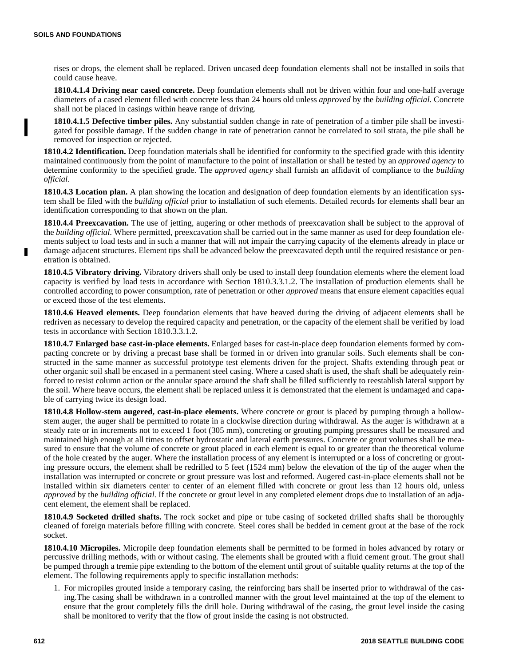rises or drops, the element shall be replaced. Driven uncased deep foundation elements shall not be installed in soils that could cause heave.

**1810.4.1.4 Driving near cased concrete.** Deep foundation elements shall not be driven within four and one-half average diameters of a cased element filled with concrete less than 24 hours old unless *approved* by the *building official*. Concrete shall not be placed in casings within heave range of driving.

**1810.4.1.5 Defective timber piles.** Any substantial sudden change in rate of penetration of a timber pile shall be investigated for possible damage. If the sudden change in rate of penetration cannot be correlated to soil strata, the pile shall be removed for inspection or rejected.

**1810.4.2 Identification.** Deep foundation materials shall be identified for conformity to the specified grade with this identity maintained continuously from the point of manufacture to the point of installation or shall be tested by an *approved agency* to determine conformity to the specified grade. The *approved agency* shall furnish an affidavit of compliance to the *building official*.

**1810.4.3 Location plan.** A plan showing the location and designation of deep foundation elements by an identification system shall be filed with the *building official* prior to installation of such elements. Detailed records for elements shall bear an identification corresponding to that shown on the plan.

**1810.4.4 Preexcavation.** The use of jetting, augering or other methods of preexcavation shall be subject to the approval of the *building official*. Where permitted, preexcavation shall be carried out in the same manner as used for deep foundation elements subject to load tests and in such a manner that will not impair the carrying capacity of the elements already in place or damage adjacent structures. Element tips shall be advanced below the preexcavated depth until the required resistance or penetration is obtained.

**1810.4.5 Vibratory driving.** Vibratory drivers shall only be used to install deep foundation elements where the element load capacity is verified by load tests in accordance with Section 1810.3.3.1.2. The installation of production elements shall be controlled according to power consumption, rate of penetration or other *approved* means that ensure element capacities equal or exceed those of the test elements.

**1810.4.6 Heaved elements.** Deep foundation elements that have heaved during the driving of adjacent elements shall be redriven as necessary to develop the required capacity and penetration, or the capacity of the element shall be verified by load tests in accordance with Section 1810.3.3.1.2.

**1810.4.7 Enlarged base cast-in-place elements.** Enlarged bases for cast-in-place deep foundation elements formed by compacting concrete or by driving a precast base shall be formed in or driven into granular soils. Such elements shall be constructed in the same manner as successful prototype test elements driven for the project. Shafts extending through peat or other organic soil shall be encased in a permanent steel casing. Where a cased shaft is used, the shaft shall be adequately reinforced to resist column action or the annular space around the shaft shall be filled sufficiently to reestablish lateral support by the soil. Where heave occurs, the element shall be replaced unless it is demonstrated that the element is undamaged and capable of carrying twice its design load.

**1810.4.8 Hollow-stem augered, cast-in-place elements.** Where concrete or grout is placed by pumping through a hollowstem auger, the auger shall be permitted to rotate in a clockwise direction during withdrawal. As the auger is withdrawn at a steady rate or in increments not to exceed 1 foot (305 mm), concreting or grouting pumping pressures shall be measured and maintained high enough at all times to offset hydrostatic and lateral earth pressures. Concrete or grout volumes shall be measured to ensure that the volume of concrete or grout placed in each element is equal to or greater than the theoretical volume of the hole created by the auger. Where the installation process of any element is interrupted or a loss of concreting or grouting pressure occurs, the element shall be redrilled to 5 feet (1524 mm) below the elevation of the tip of the auger when the installation was interrupted or concrete or grout pressure was lost and reformed. Augered cast-in-place elements shall not be installed within six diameters center to center of an element filled with concrete or grout less than 12 hours old, unless *approved* by the *building official*. If the concrete or grout level in any completed element drops due to installation of an adjacent element, the element shall be replaced.

**1810.4.9 Socketed drilled shafts.** The rock socket and pipe or tube casing of socketed drilled shafts shall be thoroughly cleaned of foreign materials before filling with concrete. Steel cores shall be bedded in cement grout at the base of the rock socket.

**1810.4.10 Micropiles.** Micropile deep foundation elements shall be permitted to be formed in holes advanced by rotary or percussive drilling methods, with or without casing. The elements shall be grouted with a fluid cement grout. The grout shall be pumped through a tremie pipe extending to the bottom of the element until grout of suitable quality returns at the top of the element. The following requirements apply to specific installation methods:

1. For micropiles grouted inside a temporary casing, the reinforcing bars shall be inserted prior to withdrawal of the casing.The casing shall be withdrawn in a controlled manner with the grout level maintained at the top of the element to ensure that the grout completely fills the drill hole. During withdrawal of the casing, the grout level inside the casing shall be monitored to verify that the flow of grout inside the casing is not obstructed.